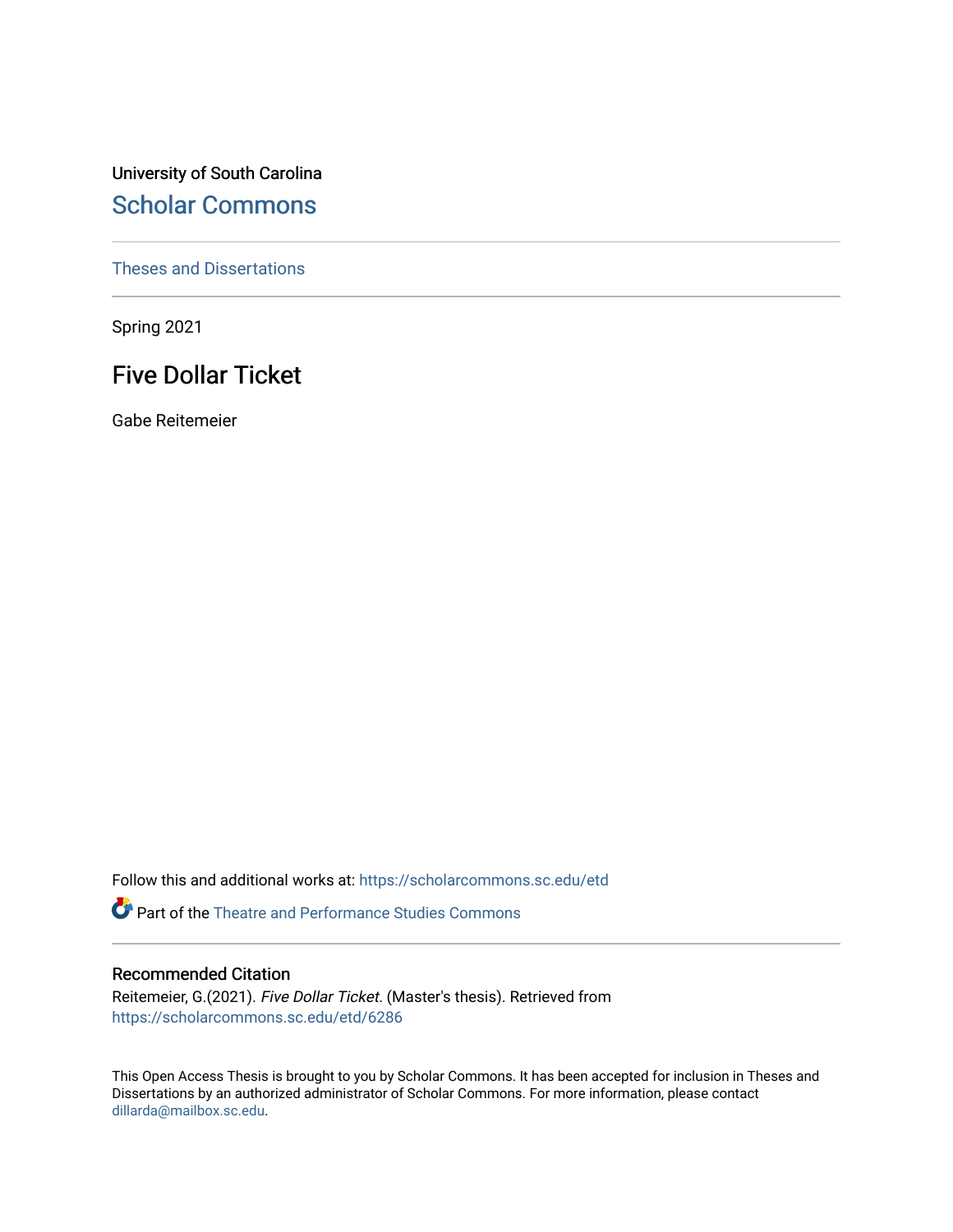University of South Carolina [Scholar Commons](https://scholarcommons.sc.edu/) 

[Theses and Dissertations](https://scholarcommons.sc.edu/etd)

Spring 2021

# Five Dollar Ticket

Gabe Reitemeier

Follow this and additional works at: [https://scholarcommons.sc.edu/etd](https://scholarcommons.sc.edu/etd?utm_source=scholarcommons.sc.edu%2Fetd%2F6286&utm_medium=PDF&utm_campaign=PDFCoverPages)

**P** Part of the Theatre and Performance Studies Commons

### Recommended Citation

Reitemeier, G.(2021). Five Dollar Ticket. (Master's thesis). Retrieved from [https://scholarcommons.sc.edu/etd/6286](https://scholarcommons.sc.edu/etd/6286?utm_source=scholarcommons.sc.edu%2Fetd%2F6286&utm_medium=PDF&utm_campaign=PDFCoverPages) 

This Open Access Thesis is brought to you by Scholar Commons. It has been accepted for inclusion in Theses and Dissertations by an authorized administrator of Scholar Commons. For more information, please contact [dillarda@mailbox.sc.edu](mailto:dillarda@mailbox.sc.edu).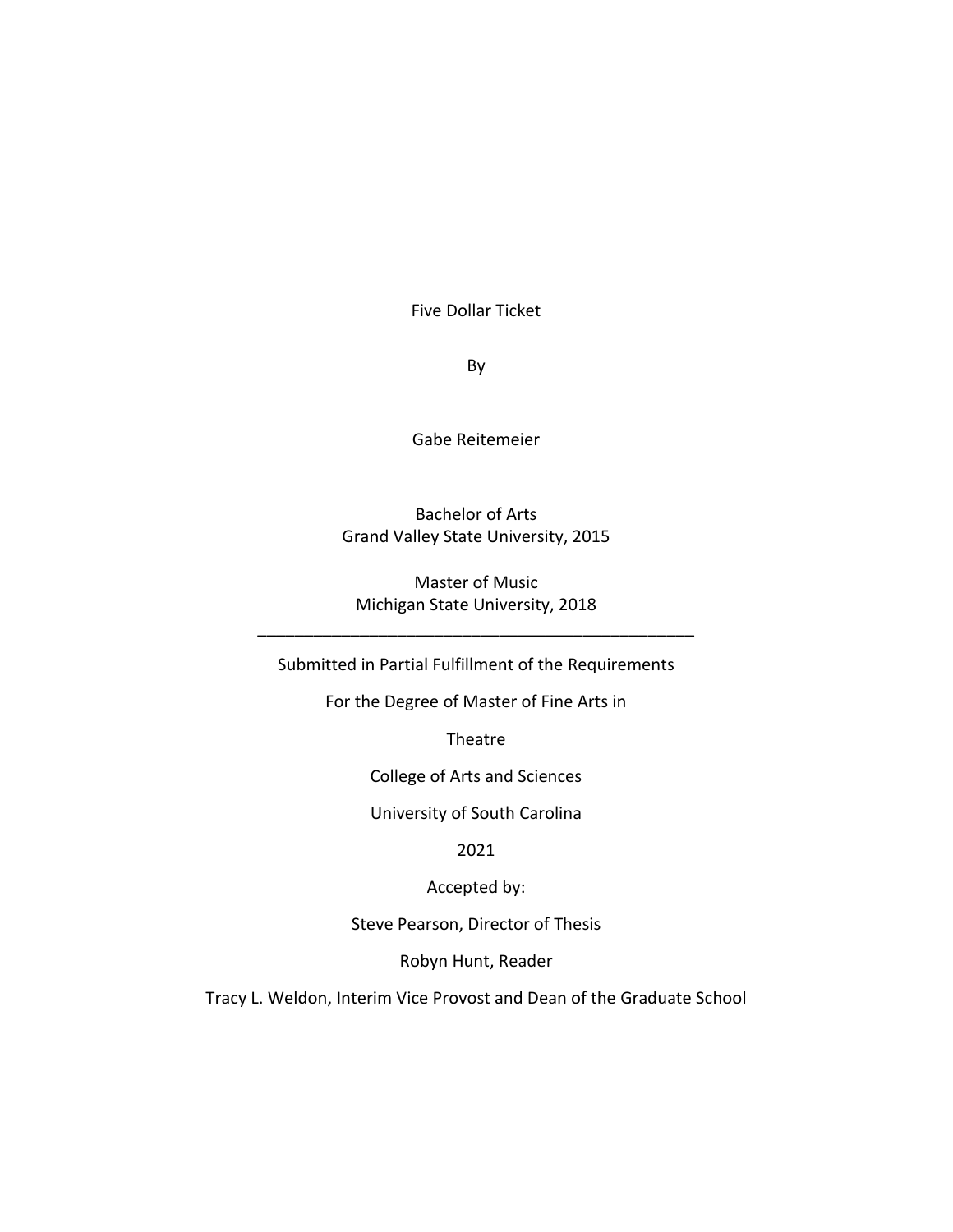Five Dollar Ticket

By

Gabe Reitemeier

Bachelor of Arts Grand Valley State University, 2015

Master of Music Michigan State University, 2018

\_\_\_\_\_\_\_\_\_\_\_\_\_\_\_\_\_\_\_\_\_\_\_\_\_\_\_\_\_\_\_\_\_\_\_\_\_\_\_\_\_\_\_\_\_\_\_

Submitted in Partial Fulfillment of the Requirements

For the Degree of Master of Fine Arts in

Theatre

College of Arts and Sciences

University of South Carolina

2021

Accepted by:

Steve Pearson, Director of Thesis

Robyn Hunt, Reader

Tracy L. Weldon, Interim Vice Provost and Dean of the Graduate School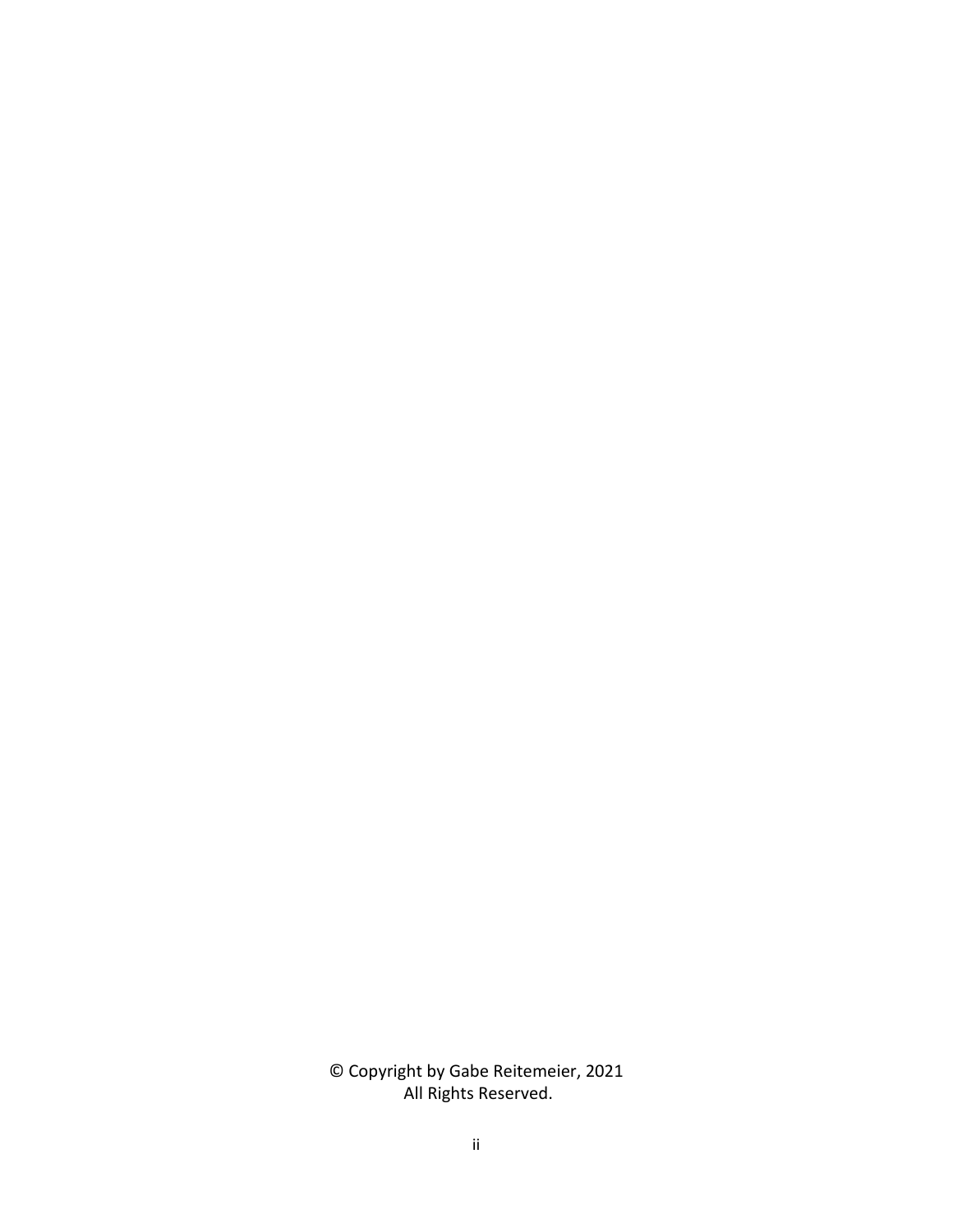© Copyright by Gabe Reitemeier, 2021 All Rights Reserved.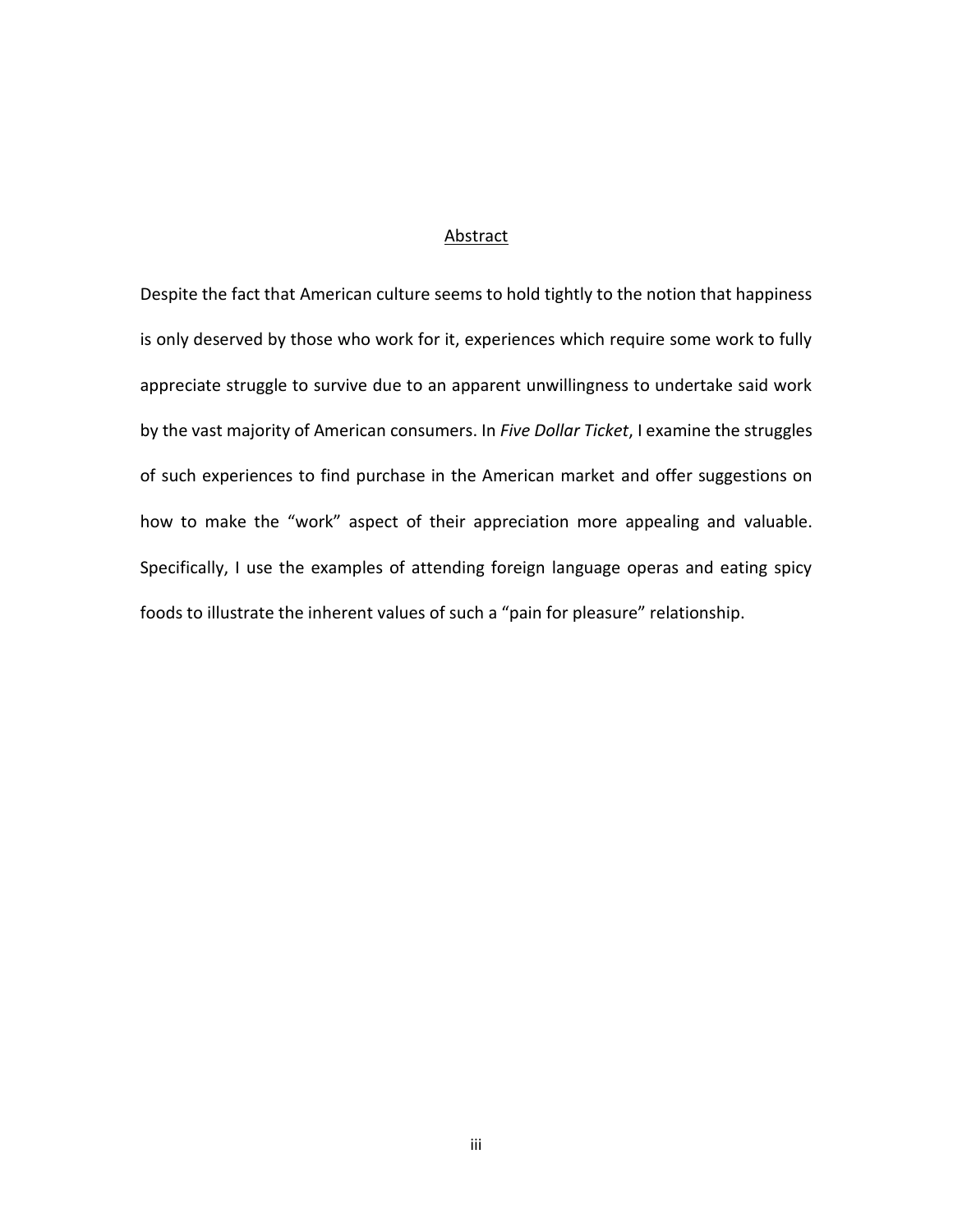### Abstract

Despite the fact that American culture seems to hold tightly to the notion that happiness is only deserved by those who work for it, experiences which require some work to fully appreciate struggle to survive due to an apparent unwillingness to undertake said work by the vast majority of American consumers. In *Five Dollar Ticket*, I examine the struggles of such experiences to find purchase in the American market and offer suggestions on how to make the "work" aspect of their appreciation more appealing and valuable. Specifically, I use the examples of attending foreign language operas and eating spicy foods to illustrate the inherent values of such a "pain for pleasure" relationship.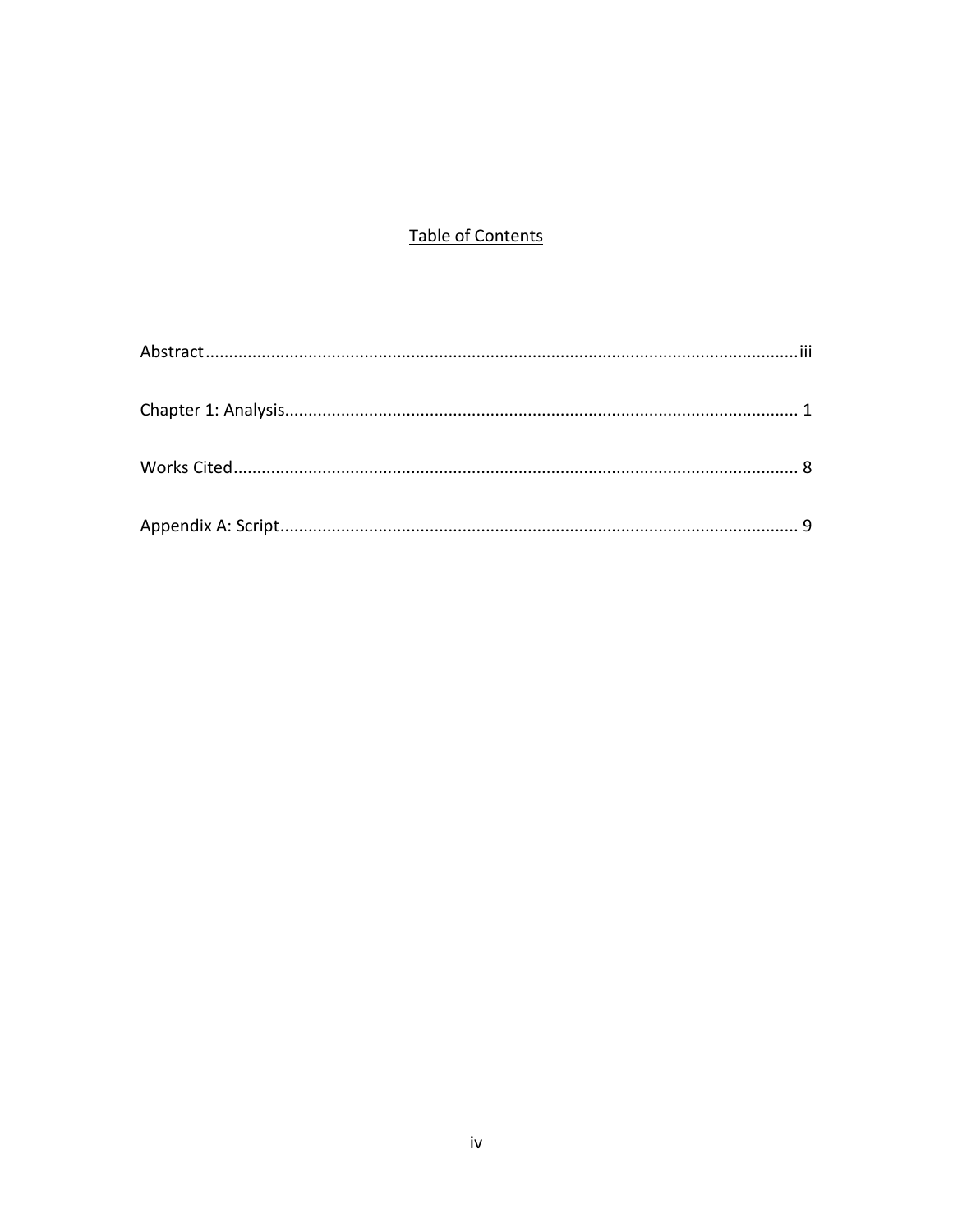## **Table of Contents**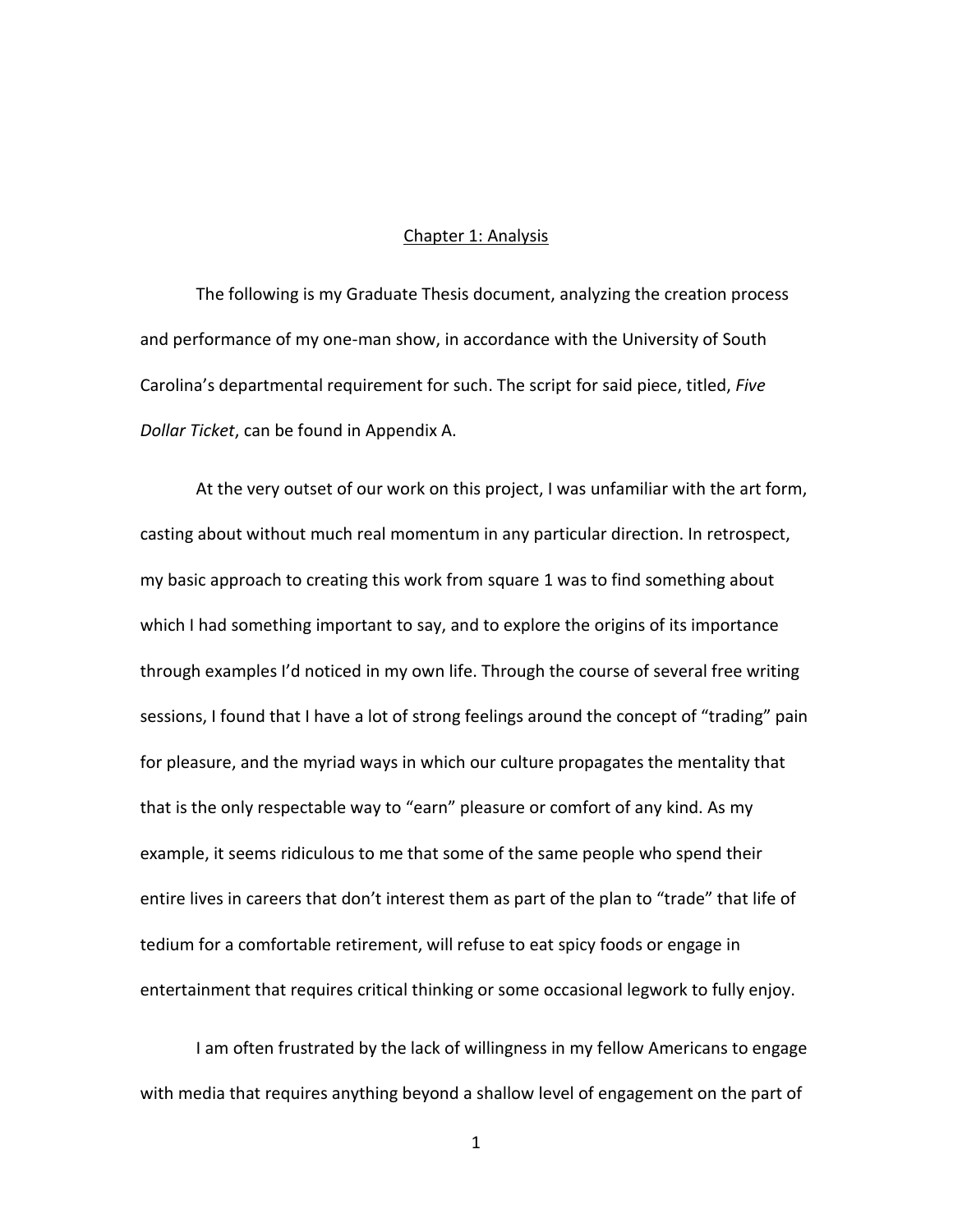### Chapter 1: Analysis

The following is my Graduate Thesis document, analyzing the creation process and performance of my one-man show, in accordance with the University of South Carolina's departmental requirement for such. The script for said piece, titled, *Five Dollar Ticket*, can be found in Appendix A.

At the very outset of our work on this project, I was unfamiliar with the art form, casting about without much real momentum in any particular direction. In retrospect, my basic approach to creating this work from square 1 was to find something about which I had something important to say, and to explore the origins of its importance through examples I'd noticed in my own life. Through the course of several free writing sessions, I found that I have a lot of strong feelings around the concept of "trading" pain for pleasure, and the myriad ways in which our culture propagates the mentality that that is the only respectable way to "earn" pleasure or comfort of any kind. As my example, it seems ridiculous to me that some of the same people who spend their entire lives in careers that don't interest them as part of the plan to "trade" that life of tedium for a comfortable retirement, will refuse to eat spicy foods or engage in entertainment that requires critical thinking or some occasional legwork to fully enjoy.

I am often frustrated by the lack of willingness in my fellow Americans to engage with media that requires anything beyond a shallow level of engagement on the part of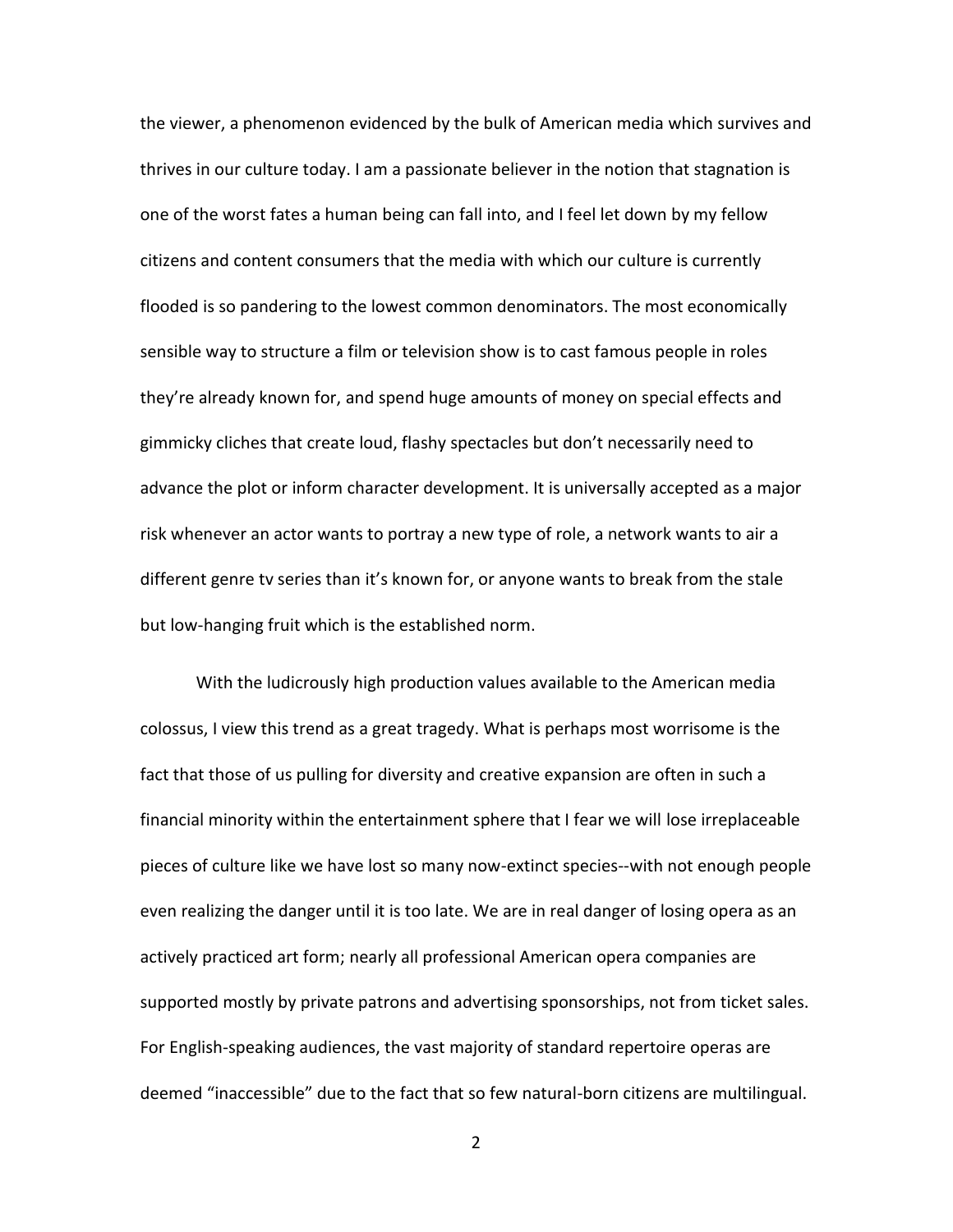the viewer, a phenomenon evidenced by the bulk of American media which survives and thrives in our culture today. I am a passionate believer in the notion that stagnation is one of the worst fates a human being can fall into, and I feel let down by my fellow citizens and content consumers that the media with which our culture is currently flooded is so pandering to the lowest common denominators. The most economically sensible way to structure a film or television show is to cast famous people in roles they're already known for, and spend huge amounts of money on special effects and gimmicky cliches that create loud, flashy spectacles but don't necessarily need to advance the plot or inform character development. It is universally accepted as a major risk whenever an actor wants to portray a new type of role, a network wants to air a different genre tv series than it's known for, or anyone wants to break from the stale but low-hanging fruit which is the established norm.

With the ludicrously high production values available to the American media colossus, I view this trend as a great tragedy. What is perhaps most worrisome is the fact that those of us pulling for diversity and creative expansion are often in such a financial minority within the entertainment sphere that I fear we will lose irreplaceable pieces of culture like we have lost so many now-extinct species--with not enough people even realizing the danger until it is too late. We are in real danger of losing opera as an actively practiced art form; nearly all professional American opera companies are supported mostly by private patrons and advertising sponsorships, not from ticket sales. For English-speaking audiences, the vast majority of standard repertoire operas are deemed "inaccessible" due to the fact that so few natural-born citizens are multilingual.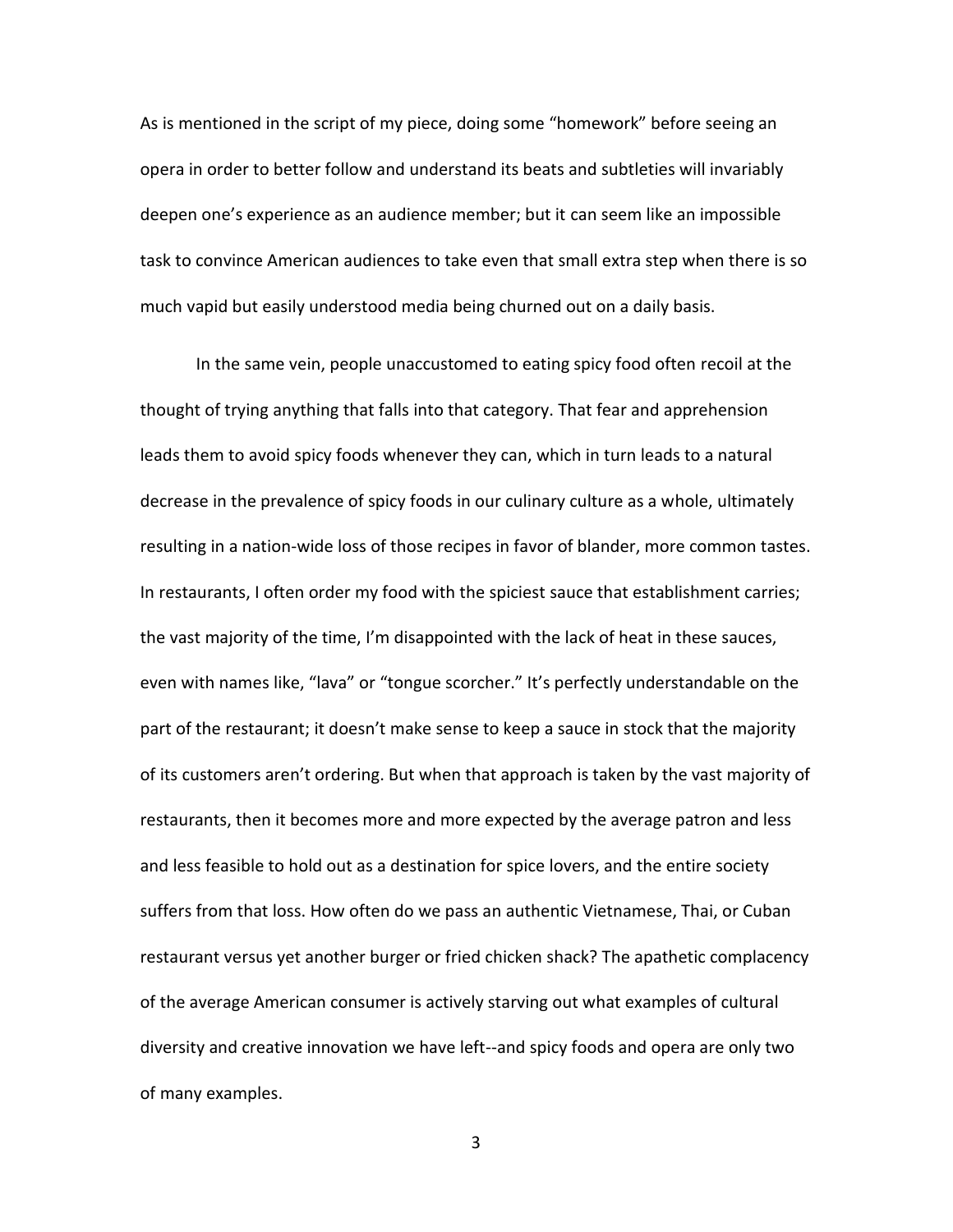As is mentioned in the script of my piece, doing some "homework" before seeing an opera in order to better follow and understand its beats and subtleties will invariably deepen one's experience as an audience member; but it can seem like an impossible task to convince American audiences to take even that small extra step when there is so much vapid but easily understood media being churned out on a daily basis.

In the same vein, people unaccustomed to eating spicy food often recoil at the thought of trying anything that falls into that category. That fear and apprehension leads them to avoid spicy foods whenever they can, which in turn leads to a natural decrease in the prevalence of spicy foods in our culinary culture as a whole, ultimately resulting in a nation-wide loss of those recipes in favor of blander, more common tastes. In restaurants, I often order my food with the spiciest sauce that establishment carries; the vast majority of the time, I'm disappointed with the lack of heat in these sauces, even with names like, "lava" or "tongue scorcher." It's perfectly understandable on the part of the restaurant; it doesn't make sense to keep a sauce in stock that the majority of its customers aren't ordering. But when that approach is taken by the vast majority of restaurants, then it becomes more and more expected by the average patron and less and less feasible to hold out as a destination for spice lovers, and the entire society suffers from that loss. How often do we pass an authentic Vietnamese, Thai, or Cuban restaurant versus yet another burger or fried chicken shack? The apathetic complacency of the average American consumer is actively starving out what examples of cultural diversity and creative innovation we have left--and spicy foods and opera are only two of many examples.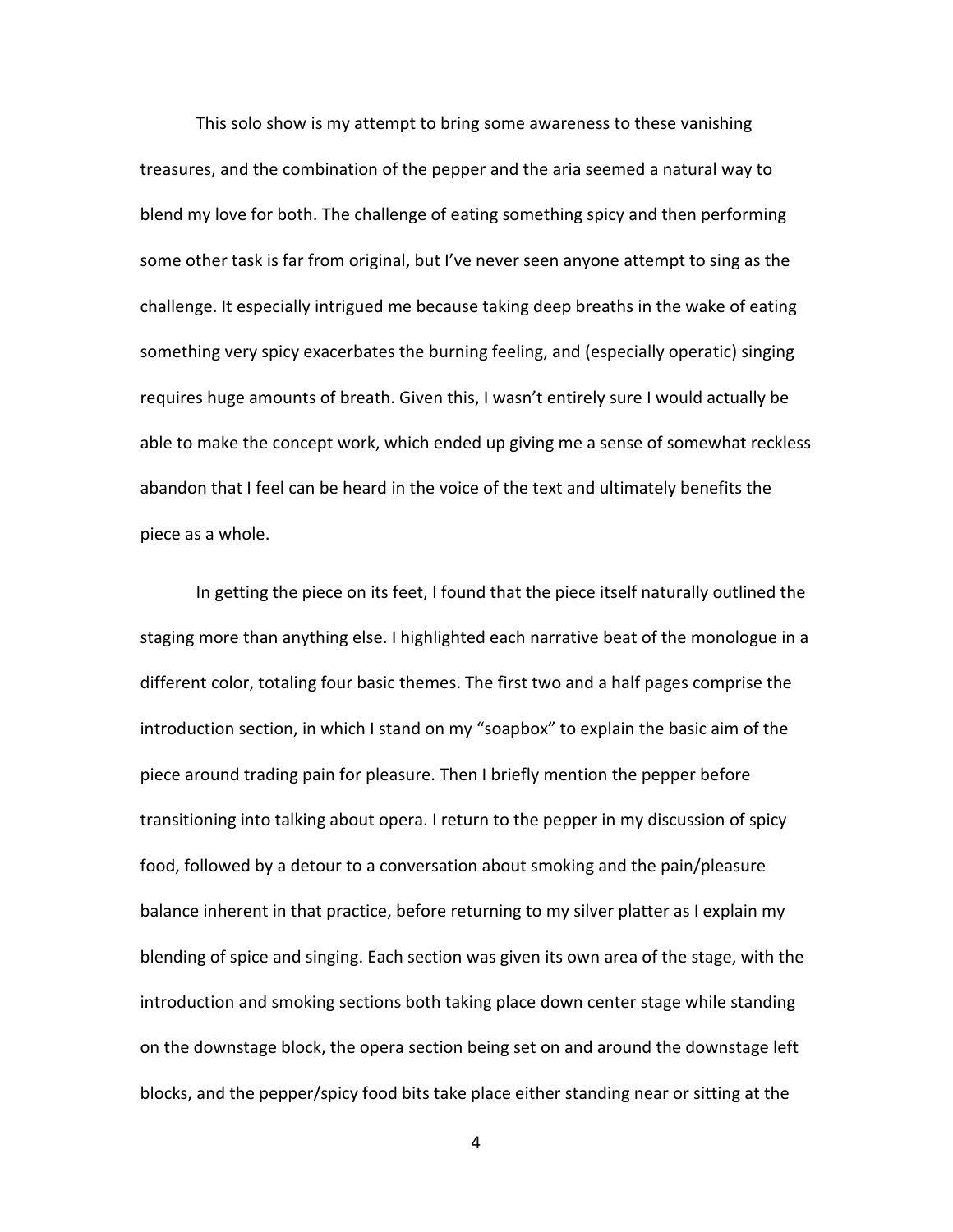This solo show is my attempt to bring some awareness to these vanishing treasures, and the combination of the pepper and the aria seemed a natural way to blend my love for both. The challenge of eating something spicy and then performing some other task is far from original, but I've never seen anyone attempt to sing as the challenge. It especially intrigued me because taking deep breaths in the wake of eating something very spicy exacerbates the burning feeling, and (especially operatic) singing requires huge amounts of breath. Given this, I wasn't entirely sure I would actually be able to make the concept work, which ended up giving me a sense of somewhat reckless abandon that I feel can be heard in the voice of the text and ultimately benefits the piece as a whole.

In getting the piece on its feet, I found that the piece itself naturally outlined the staging more than anything else. I highlighted each narrative beat of the monologue in a different color, totaling four basic themes. The first two and a half pages comprise the introduction section, in which I stand on my "soapbox" to explain the basic aim of the piece around trading pain for pleasure. Then I briefly mention the pepper before transitioning into talking about opera. I return to the pepper in my discussion of spicy food, followed by a detour to a conversation about smoking and the pain/pleasure balance inherent in that practice, before returning to my silver platter as I explain my blending of spice and singing. Each section was given its own area of the stage, with the introduction and smoking sections both taking place down center stage while standing on the downstage block, the opera section being set on and around the downstage left blocks, and the pepper/spicy food bits take place either standing near or sitting at the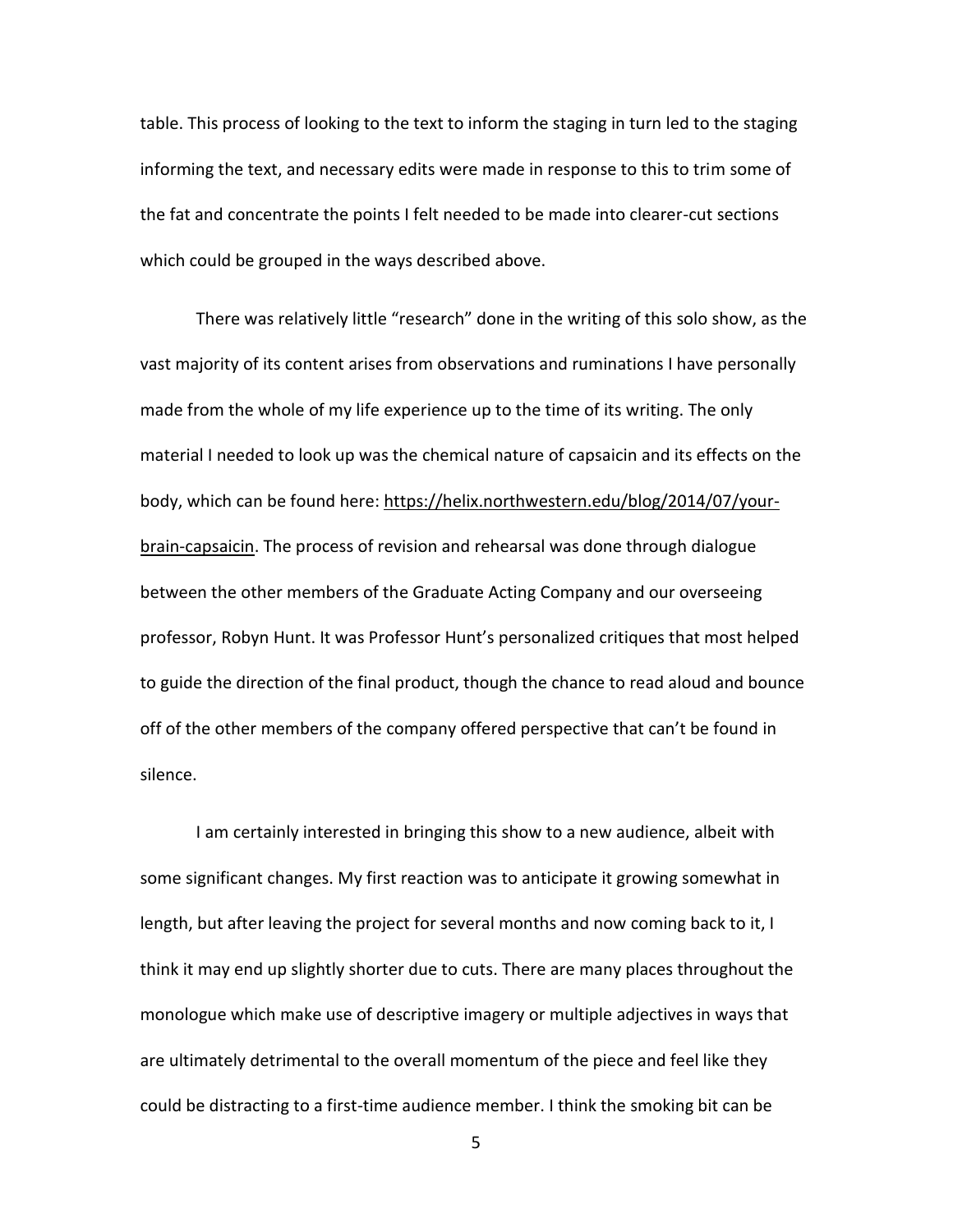table. This process of looking to the text to inform the staging in turn led to the staging informing the text, and necessary edits were made in response to this to trim some of the fat and concentrate the points I felt needed to be made into clearer-cut sections which could be grouped in the ways described above.

There was relatively little "research" done in the writing of this solo show, as the vast majority of its content arises from observations and ruminations I have personally made from the whole of my life experience up to the time of its writing. The only material I needed to look up was the chemical nature of capsaicin and its effects on the body, which can be found here[: https://helix.northwestern.edu/blog/2014/07/your](https://helix.northwestern.edu/blog/2014/07/your-brain-capsaicin)[brain-capsaicin.](https://helix.northwestern.edu/blog/2014/07/your-brain-capsaicin) The process of revision and rehearsal was done through dialogue between the other members of the Graduate Acting Company and our overseeing professor, Robyn Hunt. It was Professor Hunt's personalized critiques that most helped to guide the direction of the final product, though the chance to read aloud and bounce off of the other members of the company offered perspective that can't be found in silence.

I am certainly interested in bringing this show to a new audience, albeit with some significant changes. My first reaction was to anticipate it growing somewhat in length, but after leaving the project for several months and now coming back to it, I think it may end up slightly shorter due to cuts. There are many places throughout the monologue which make use of descriptive imagery or multiple adjectives in ways that are ultimately detrimental to the overall momentum of the piece and feel like they could be distracting to a first-time audience member. I think the smoking bit can be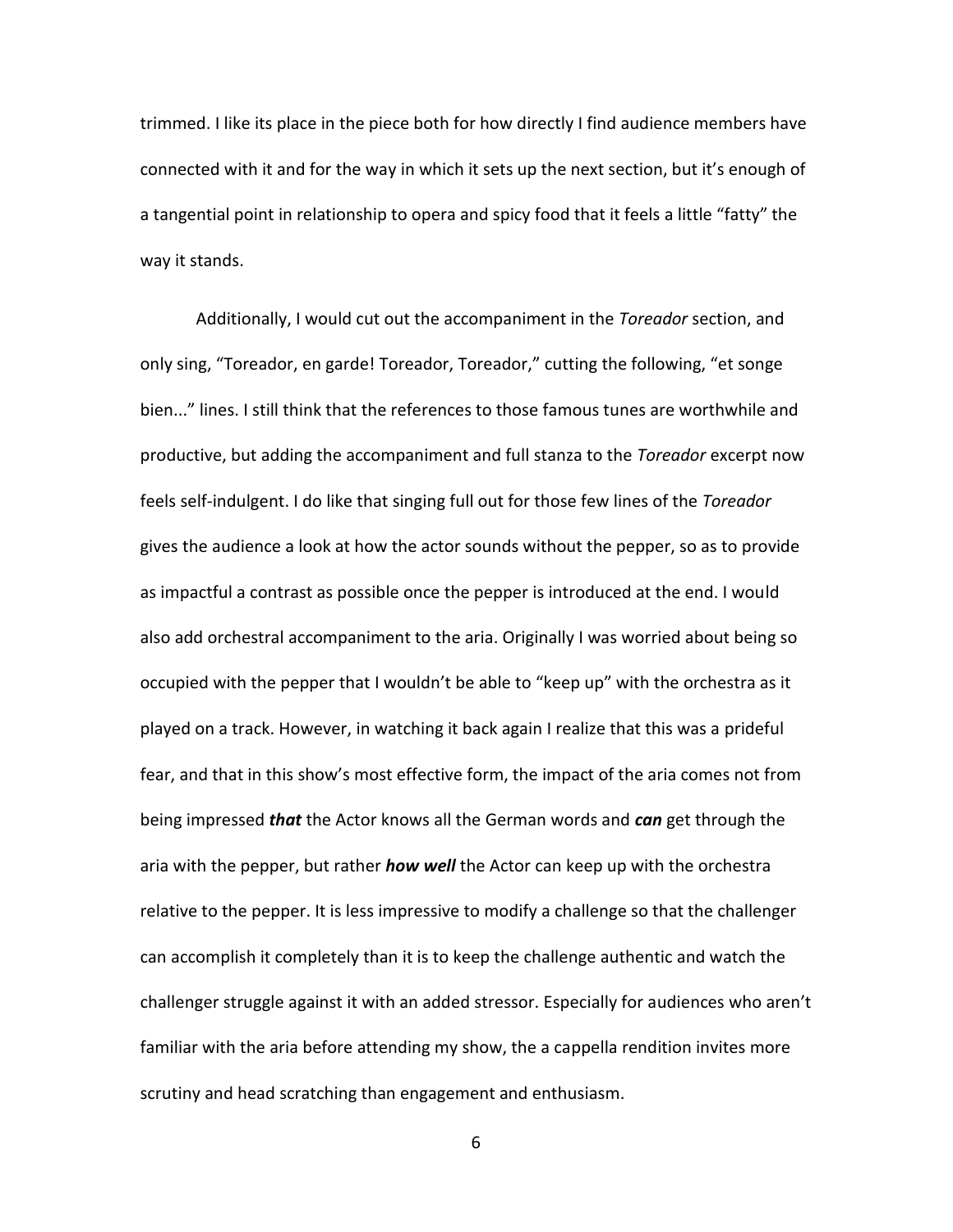trimmed. I like its place in the piece both for how directly I find audience members have connected with it and for the way in which it sets up the next section, but it's enough of a tangential point in relationship to opera and spicy food that it feels a little "fatty" the way it stands.

Additionally, I would cut out the accompaniment in the *Toreador* section, and only sing, "Toreador, en garde! Toreador, Toreador," cutting the following, "et songe bien..." lines. I still think that the references to those famous tunes are worthwhile and productive, but adding the accompaniment and full stanza to the *Toreador* excerpt now feels self-indulgent. I do like that singing full out for those few lines of the *Toreador* gives the audience a look at how the actor sounds without the pepper, so as to provide as impactful a contrast as possible once the pepper is introduced at the end. I would also add orchestral accompaniment to the aria. Originally I was worried about being so occupied with the pepper that I wouldn't be able to "keep up" with the orchestra as it played on a track. However, in watching it back again I realize that this was a prideful fear, and that in this show's most effective form, the impact of the aria comes not from being impressed *that* the Actor knows all the German words and *can* get through the aria with the pepper, but rather *how well* the Actor can keep up with the orchestra relative to the pepper. It is less impressive to modify a challenge so that the challenger can accomplish it completely than it is to keep the challenge authentic and watch the challenger struggle against it with an added stressor. Especially for audiences who aren't familiar with the aria before attending my show, the a cappella rendition invites more scrutiny and head scratching than engagement and enthusiasm.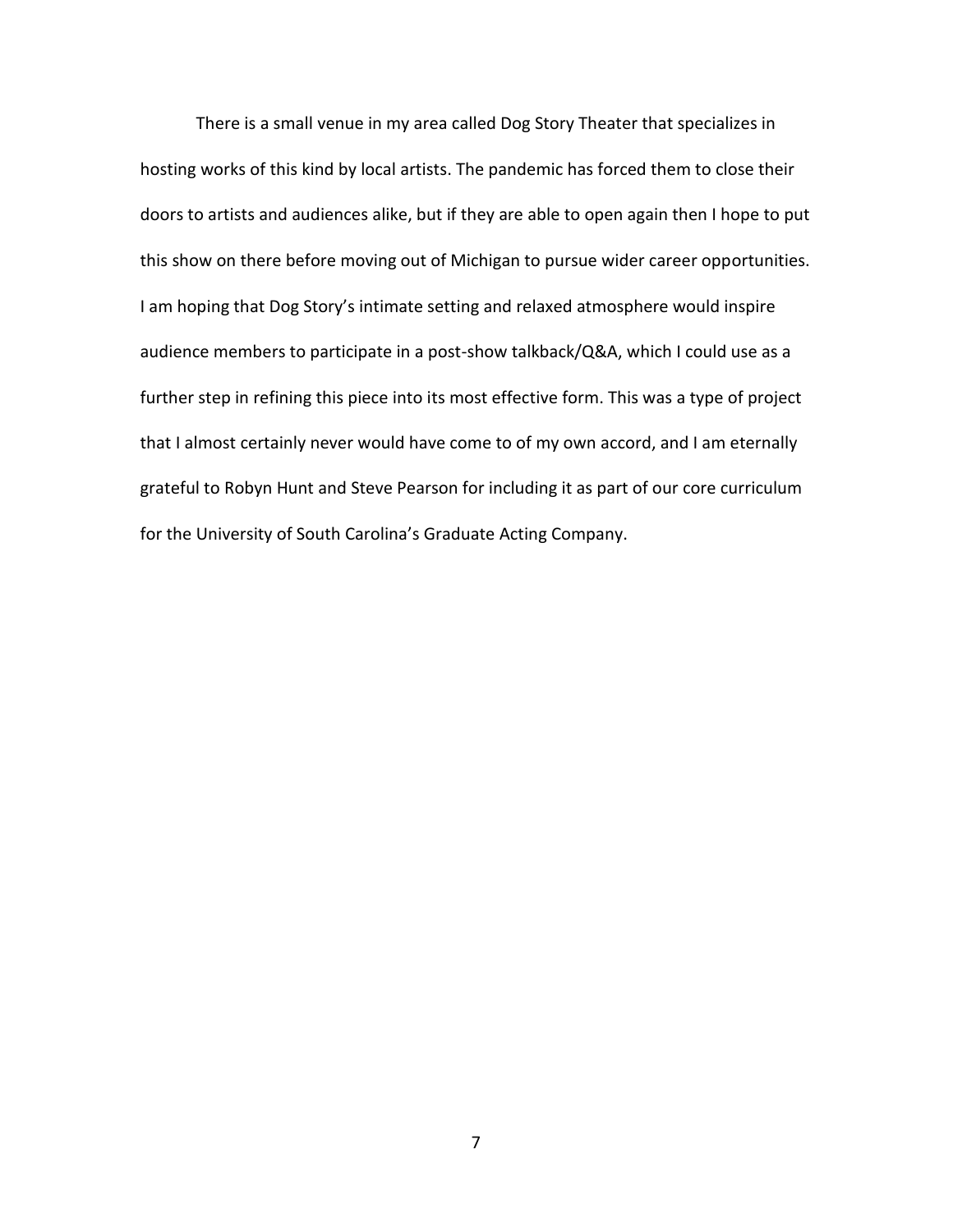There is a small venue in my area called Dog Story Theater that specializes in hosting works of this kind by local artists. The pandemic has forced them to close their doors to artists and audiences alike, but if they are able to open again then I hope to put this show on there before moving out of Michigan to pursue wider career opportunities. I am hoping that Dog Story's intimate setting and relaxed atmosphere would inspire audience members to participate in a post-show talkback/Q&A, which I could use as a further step in refining this piece into its most effective form. This was a type of project that I almost certainly never would have come to of my own accord, and I am eternally grateful to Robyn Hunt and Steve Pearson for including it as part of our core curriculum for the University of South Carolina's Graduate Acting Company.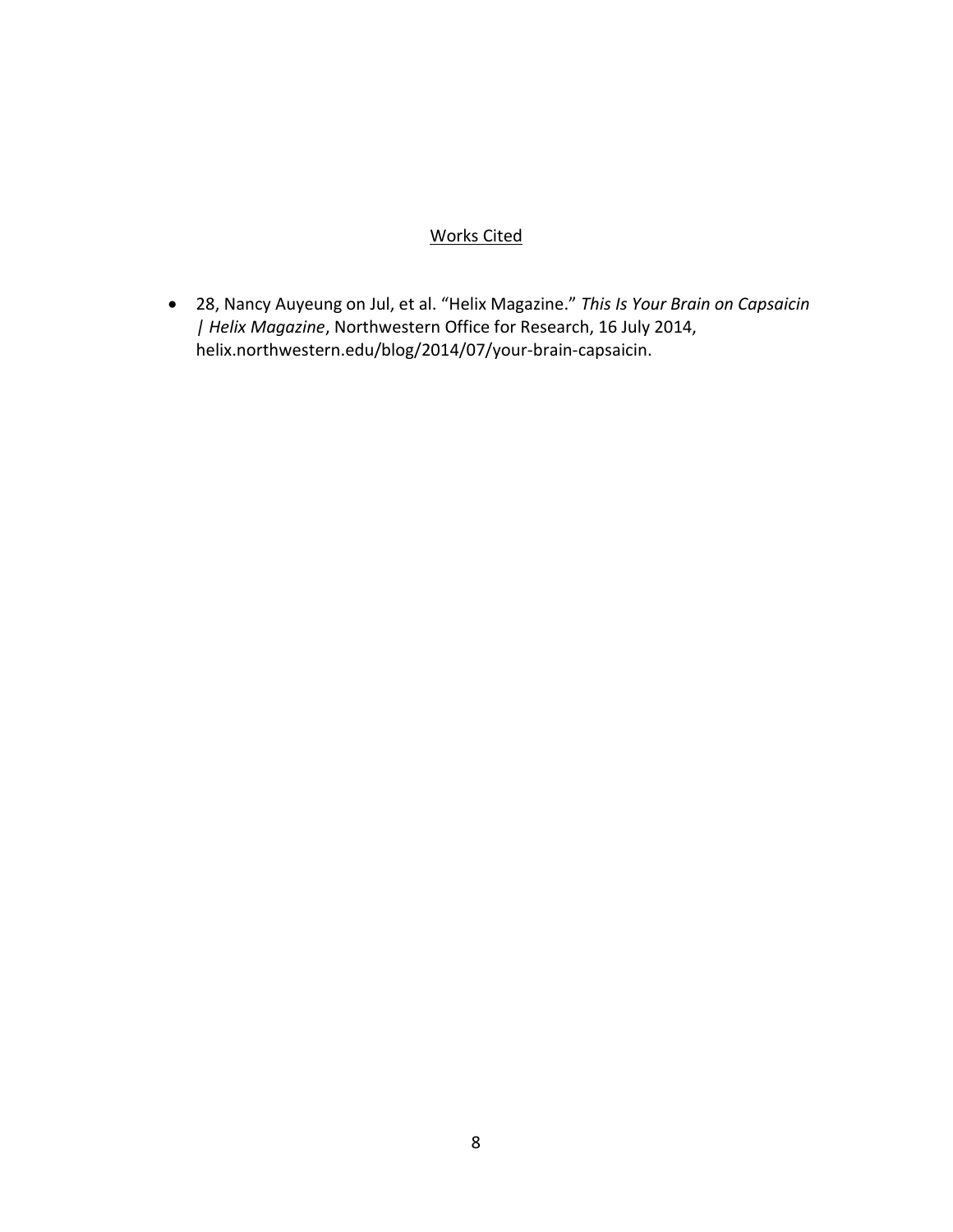### Works Cited

• 28, Nancy Auyeung on Jul, et al. "Helix Magazine." *This Is Your Brain on Capsaicin | Helix Magazine*, Northwestern Office for Research, 16 July 2014, helix.northwestern.edu/blog/2014/07/your-brain-capsaicin.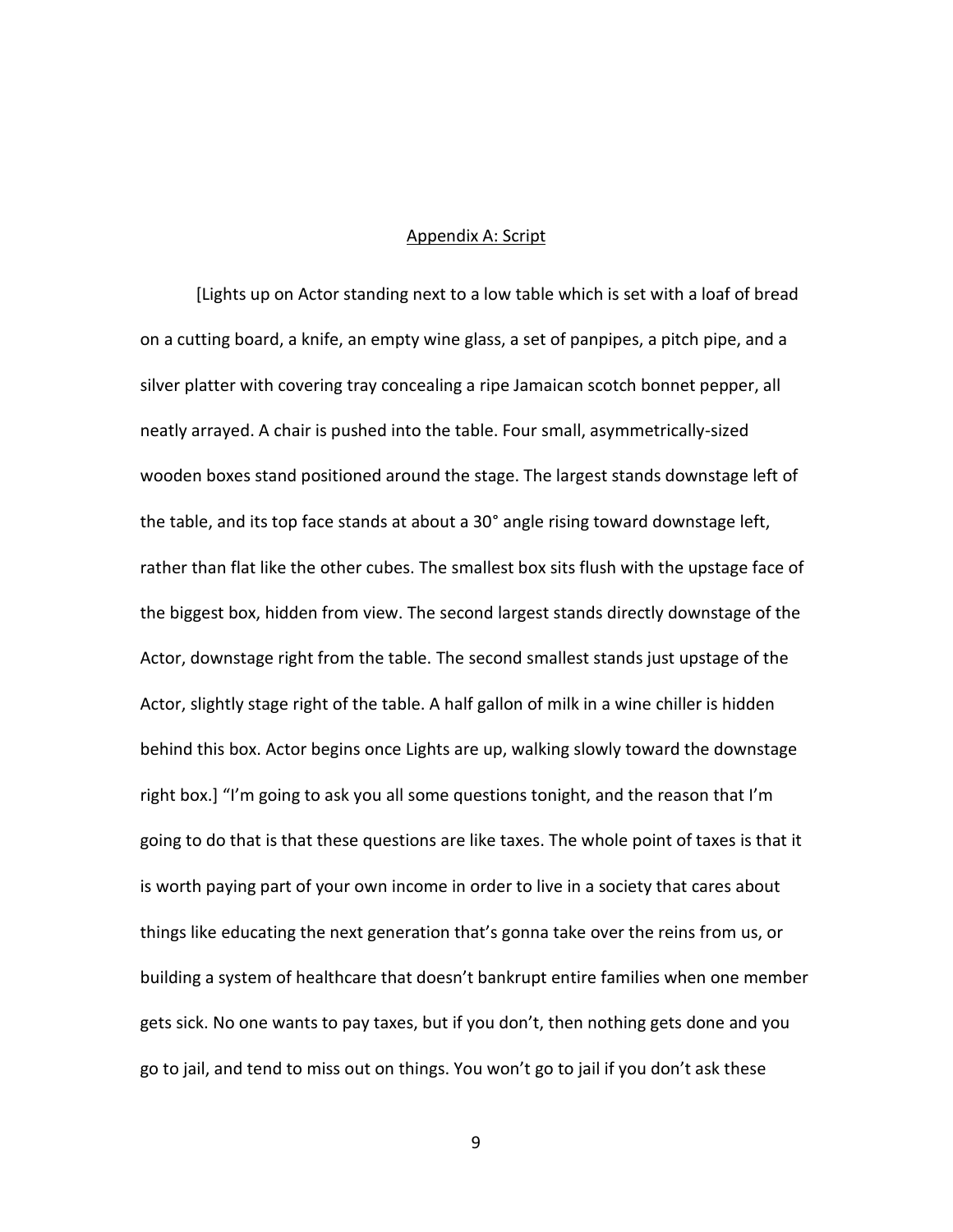#### Appendix A: Script

[Lights up on Actor standing next to a low table which is set with a loaf of bread on a cutting board, a knife, an empty wine glass, a set of panpipes, a pitch pipe, and a silver platter with covering tray concealing a ripe Jamaican scotch bonnet pepper, all neatly arrayed. A chair is pushed into the table. Four small, asymmetrically-sized wooden boxes stand positioned around the stage. The largest stands downstage left of the table, and its top face stands at about a 30° angle rising toward downstage left, rather than flat like the other cubes. The smallest box sits flush with the upstage face of the biggest box, hidden from view. The second largest stands directly downstage of the Actor, downstage right from the table. The second smallest stands just upstage of the Actor, slightly stage right of the table. A half gallon of milk in a wine chiller is hidden behind this box. Actor begins once Lights are up, walking slowly toward the downstage right box.] "I'm going to ask you all some questions tonight, and the reason that I'm going to do that is that these questions are like taxes. The whole point of taxes is that it is worth paying part of your own income in order to live in a society that cares about things like educating the next generation that's gonna take over the reins from us, or building a system of healthcare that doesn't bankrupt entire families when one member gets sick. No one wants to pay taxes, but if you don't, then nothing gets done and you go to jail, and tend to miss out on things. You won't go to jail if you don't ask these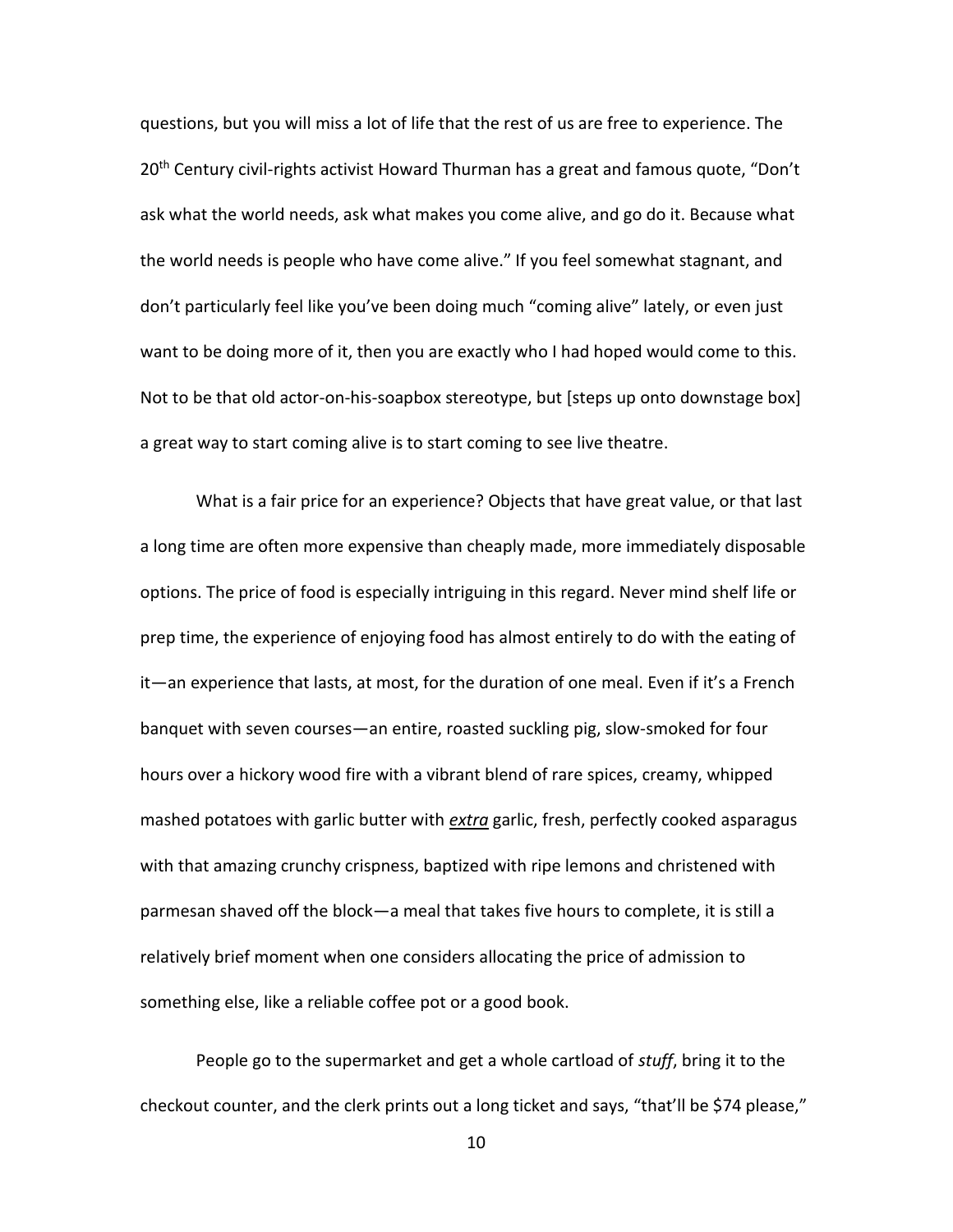questions, but you will miss a lot of life that the rest of us are free to experience. The 20<sup>th</sup> Century civil-rights activist Howard Thurman has a great and famous quote, "Don't ask what the world needs, ask what makes you come alive, and go do it. Because what the world needs is people who have come alive." If you feel somewhat stagnant, and don't particularly feel like you've been doing much "coming alive" lately, or even just want to be doing more of it, then you are exactly who I had hoped would come to this. Not to be that old actor-on-his-soapbox stereotype, but [steps up onto downstage box] a great way to start coming alive is to start coming to see live theatre.

What is a fair price for an experience? Objects that have great value, or that last a long time are often more expensive than cheaply made, more immediately disposable options. The price of food is especially intriguing in this regard. Never mind shelf life or prep time, the experience of enjoying food has almost entirely to do with the eating of it—an experience that lasts, at most, for the duration of one meal. Even if it's a French banquet with seven courses—an entire, roasted suckling pig, slow-smoked for four hours over a hickory wood fire with a vibrant blend of rare spices, creamy, whipped mashed potatoes with garlic butter with *extra* garlic, fresh, perfectly cooked asparagus with that amazing crunchy crispness, baptized with ripe lemons and christened with parmesan shaved off the block—a meal that takes five hours to complete, it is still a relatively brief moment when one considers allocating the price of admission to something else, like a reliable coffee pot or a good book.

People go to the supermarket and get a whole cartload of *stuff*, bring it to the checkout counter, and the clerk prints out a long ticket and says, "that'll be \$74 please,"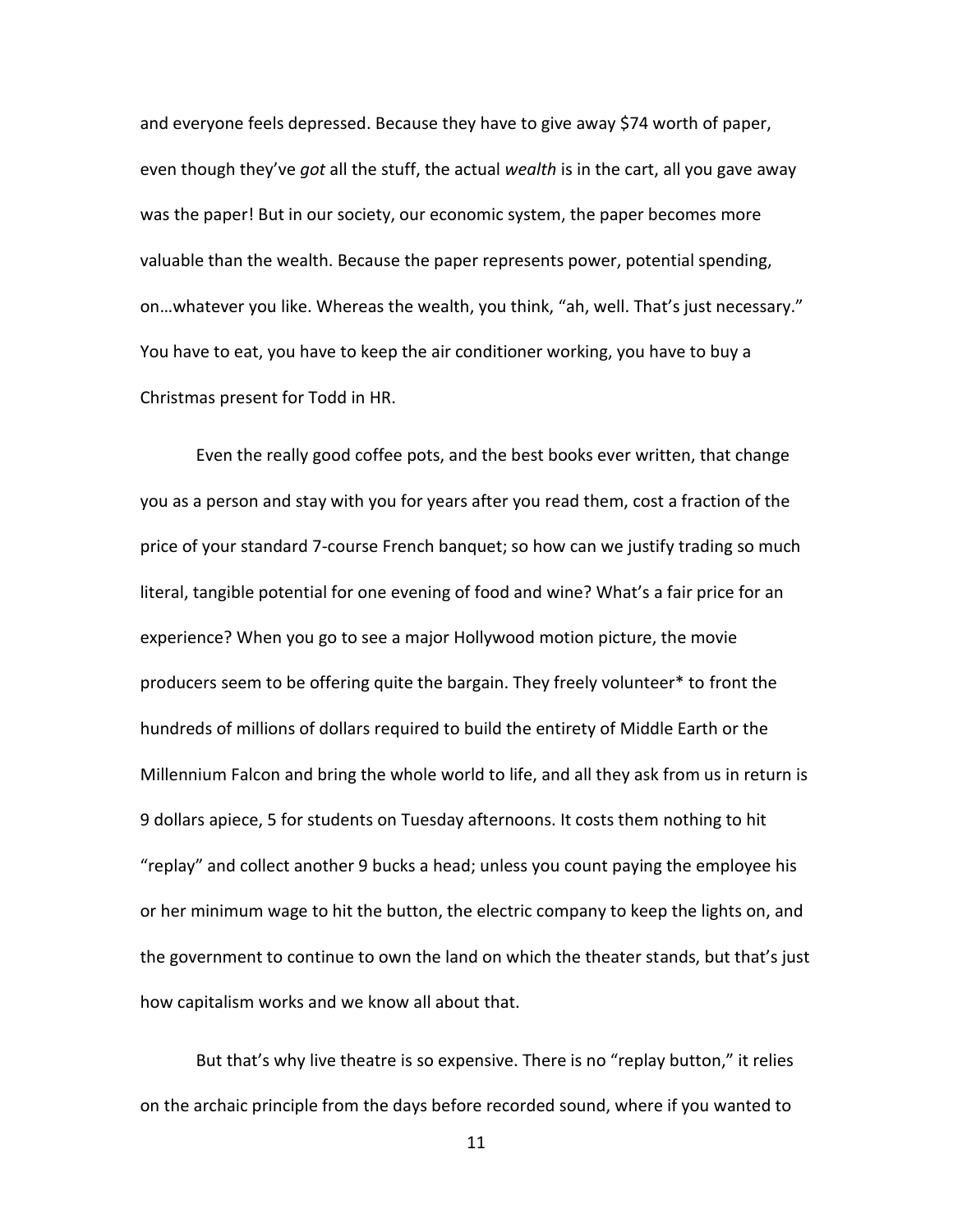and everyone feels depressed. Because they have to give away \$74 worth of paper, even though they've *got* all the stuff, the actual *wealth* is in the cart, all you gave away was the paper! But in our society, our economic system, the paper becomes more valuable than the wealth. Because the paper represents power, potential spending, on…whatever you like. Whereas the wealth, you think, "ah, well. That's just necessary." You have to eat, you have to keep the air conditioner working, you have to buy a Christmas present for Todd in HR.

Even the really good coffee pots, and the best books ever written, that change you as a person and stay with you for years after you read them, cost a fraction of the price of your standard 7-course French banquet; so how can we justify trading so much literal, tangible potential for one evening of food and wine? What's a fair price for an experience? When you go to see a major Hollywood motion picture, the movie producers seem to be offering quite the bargain. They freely volunteer\* to front the hundreds of millions of dollars required to build the entirety of Middle Earth or the Millennium Falcon and bring the whole world to life, and all they ask from us in return is 9 dollars apiece, 5 for students on Tuesday afternoons. It costs them nothing to hit "replay" and collect another 9 bucks a head; unless you count paying the employee his or her minimum wage to hit the button, the electric company to keep the lights on, and the government to continue to own the land on which the theater stands, but that's just how capitalism works and we know all about that.

But that's why live theatre is so expensive. There is no "replay button," it relies on the archaic principle from the days before recorded sound, where if you wanted to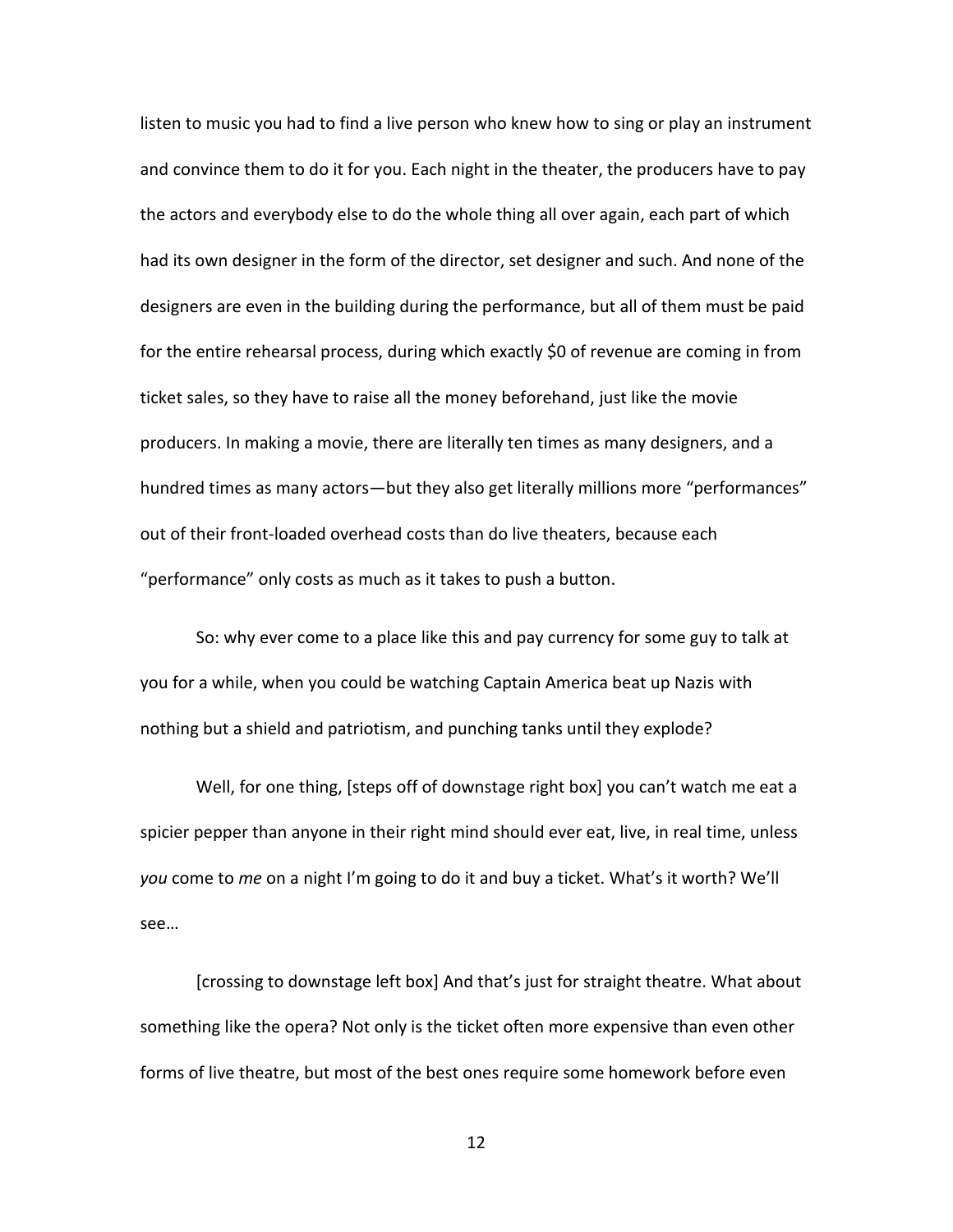listen to music you had to find a live person who knew how to sing or play an instrument and convince them to do it for you. Each night in the theater, the producers have to pay the actors and everybody else to do the whole thing all over again, each part of which had its own designer in the form of the director, set designer and such. And none of the designers are even in the building during the performance, but all of them must be paid for the entire rehearsal process, during which exactly \$0 of revenue are coming in from ticket sales, so they have to raise all the money beforehand, just like the movie producers. In making a movie, there are literally ten times as many designers, and a hundred times as many actors—but they also get literally millions more "performances" out of their front-loaded overhead costs than do live theaters, because each "performance" only costs as much as it takes to push a button.

So: why ever come to a place like this and pay currency for some guy to talk at you for a while, when you could be watching Captain America beat up Nazis with nothing but a shield and patriotism, and punching tanks until they explode?

Well, for one thing, [steps off of downstage right box] you can't watch me eat a spicier pepper than anyone in their right mind should ever eat, live, in real time, unless *you* come to *me* on a night I'm going to do it and buy a ticket. What's it worth? We'll see…

[crossing to downstage left box] And that's just for straight theatre. What about something like the opera? Not only is the ticket often more expensive than even other forms of live theatre, but most of the best ones require some homework before even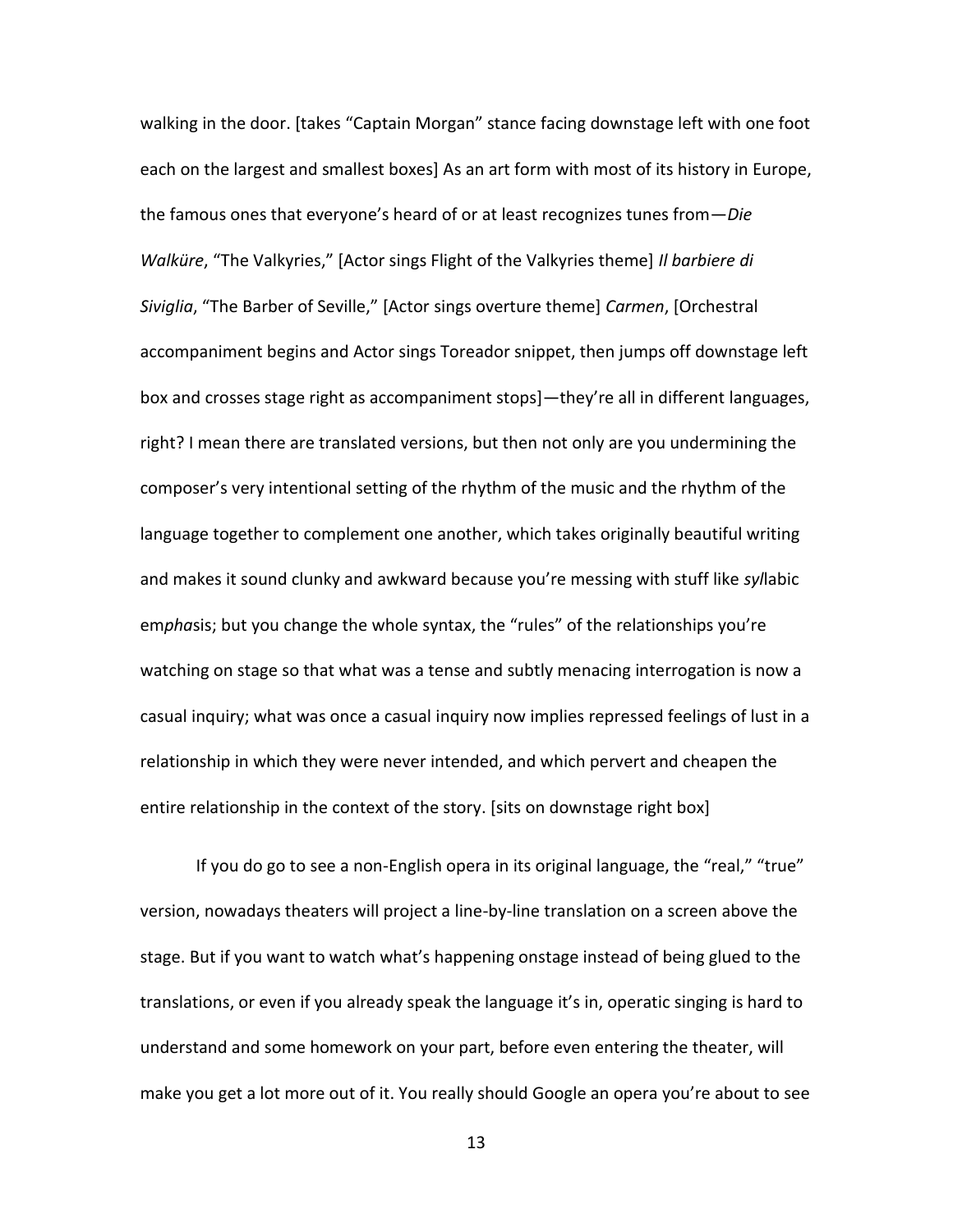walking in the door. [takes "Captain Morgan" stance facing downstage left with one foot each on the largest and smallest boxes] As an art form with most of its history in Europe, the famous ones that everyone's heard of or at least recognizes tunes from—*Die Walküre*, "The Valkyries," [Actor sings Flight of the Valkyries theme] *Il barbiere di Siviglia*, "The Barber of Seville," [Actor sings overture theme] *Carmen*, [Orchestral accompaniment begins and Actor sings Toreador snippet, then jumps off downstage left box and crosses stage right as accompaniment stops]—they're all in different languages, right? I mean there are translated versions, but then not only are you undermining the composer's very intentional setting of the rhythm of the music and the rhythm of the language together to complement one another, which takes originally beautiful writing and makes it sound clunky and awkward because you're messing with stuff like *syl*labic em*pha*sis; but you change the whole syntax, the "rules" of the relationships you're watching on stage so that what was a tense and subtly menacing interrogation is now a casual inquiry; what was once a casual inquiry now implies repressed feelings of lust in a relationship in which they were never intended, and which pervert and cheapen the entire relationship in the context of the story. [sits on downstage right box]

If you do go to see a non-English opera in its original language, the "real," "true" version, nowadays theaters will project a line-by-line translation on a screen above the stage. But if you want to watch what's happening onstage instead of being glued to the translations, or even if you already speak the language it's in, operatic singing is hard to understand and some homework on your part, before even entering the theater, will make you get a lot more out of it. You really should Google an opera you're about to see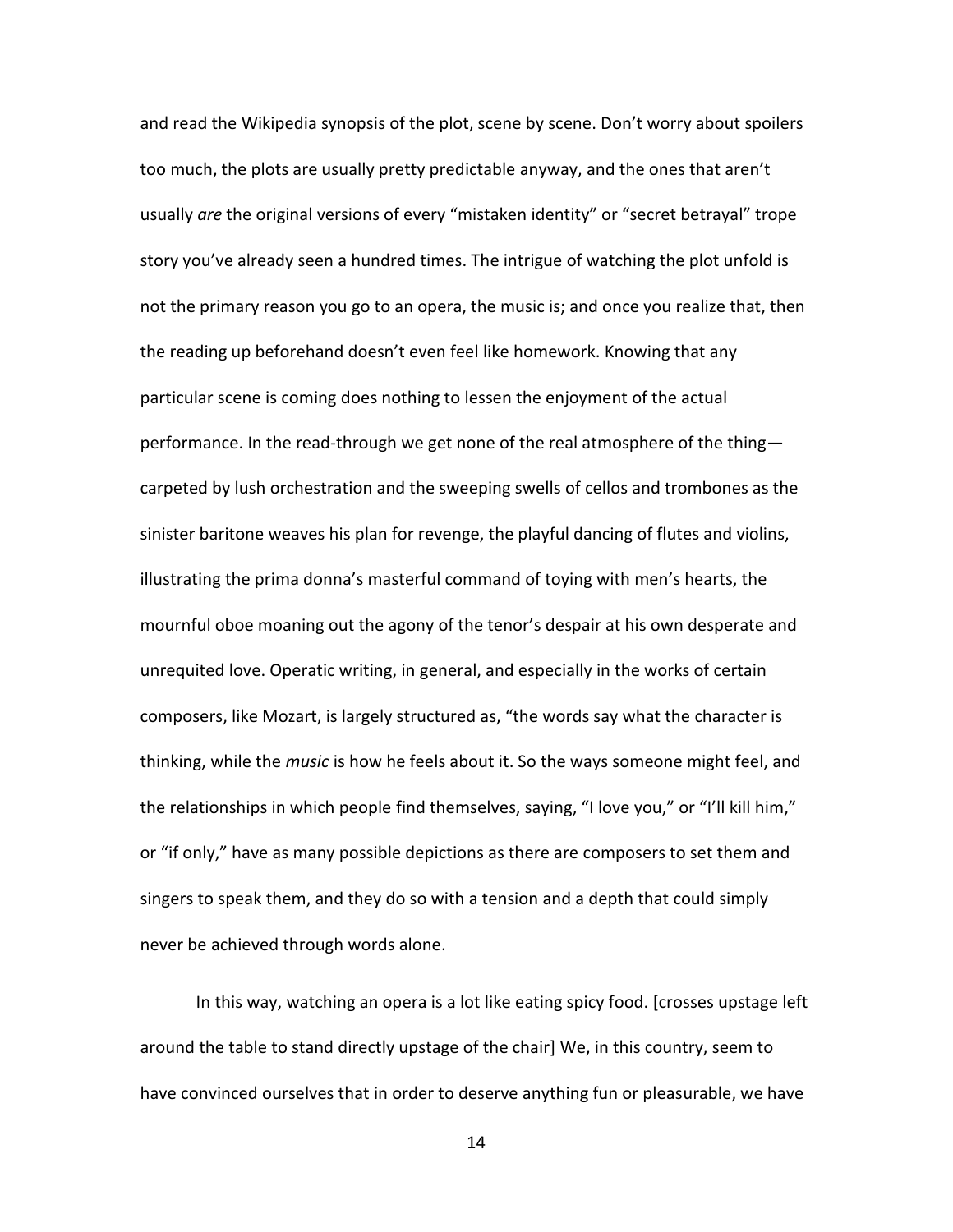and read the Wikipedia synopsis of the plot, scene by scene. Don't worry about spoilers too much, the plots are usually pretty predictable anyway, and the ones that aren't usually *are* the original versions of every "mistaken identity" or "secret betrayal" trope story you've already seen a hundred times. The intrigue of watching the plot unfold is not the primary reason you go to an opera, the music is; and once you realize that, then the reading up beforehand doesn't even feel like homework. Knowing that any particular scene is coming does nothing to lessen the enjoyment of the actual performance. In the read-through we get none of the real atmosphere of the thing carpeted by lush orchestration and the sweeping swells of cellos and trombones as the sinister baritone weaves his plan for revenge, the playful dancing of flutes and violins, illustrating the prima donna's masterful command of toying with men's hearts, the mournful oboe moaning out the agony of the tenor's despair at his own desperate and unrequited love. Operatic writing, in general, and especially in the works of certain composers, like Mozart, is largely structured as, "the words say what the character is thinking, while the *music* is how he feels about it. So the ways someone might feel, and the relationships in which people find themselves, saying, "I love you," or "I'll kill him," or "if only," have as many possible depictions as there are composers to set them and singers to speak them, and they do so with a tension and a depth that could simply never be achieved through words alone.

In this way, watching an opera is a lot like eating spicy food. [crosses upstage left around the table to stand directly upstage of the chair] We, in this country, seem to have convinced ourselves that in order to deserve anything fun or pleasurable, we have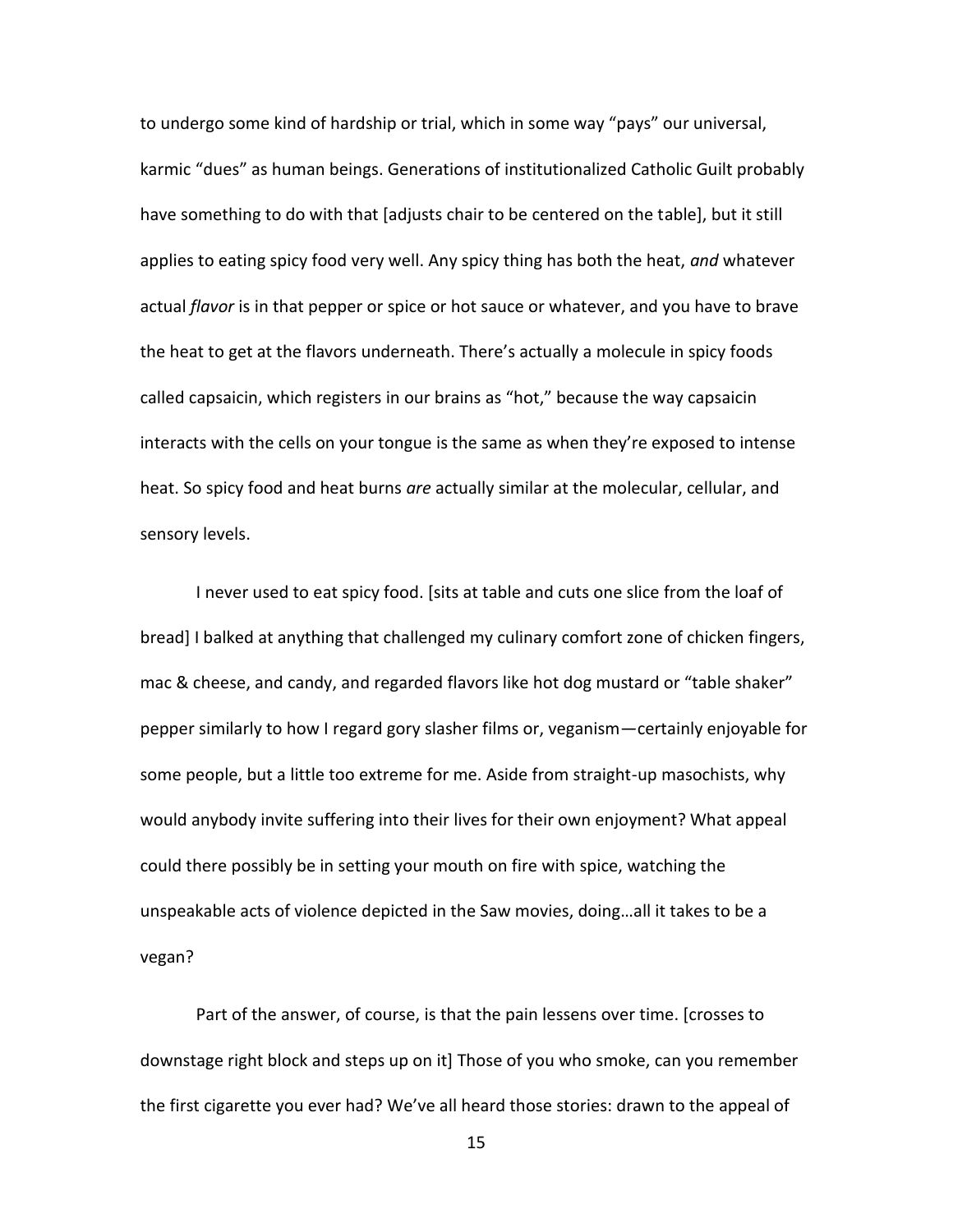to undergo some kind of hardship or trial, which in some way "pays" our universal, karmic "dues" as human beings. Generations of institutionalized Catholic Guilt probably have something to do with that [adjusts chair to be centered on the table], but it still applies to eating spicy food very well. Any spicy thing has both the heat, *and* whatever actual *flavor* is in that pepper or spice or hot sauce or whatever, and you have to brave the heat to get at the flavors underneath. There's actually a molecule in spicy foods called capsaicin, which registers in our brains as "hot," because the way capsaicin interacts with the cells on your tongue is the same as when they're exposed to intense heat. So spicy food and heat burns *are* actually similar at the molecular, cellular, and sensory levels.

I never used to eat spicy food. [sits at table and cuts one slice from the loaf of bread] I balked at anything that challenged my culinary comfort zone of chicken fingers, mac & cheese, and candy, and regarded flavors like hot dog mustard or "table shaker" pepper similarly to how I regard gory slasher films or, veganism—certainly enjoyable for some people, but a little too extreme for me. Aside from straight-up masochists, why would anybody invite suffering into their lives for their own enjoyment? What appeal could there possibly be in setting your mouth on fire with spice, watching the unspeakable acts of violence depicted in the Saw movies, doing…all it takes to be a vegan?

Part of the answer, of course, is that the pain lessens over time. [crosses to downstage right block and steps up on it] Those of you who smoke, can you remember the first cigarette you ever had? We've all heard those stories: drawn to the appeal of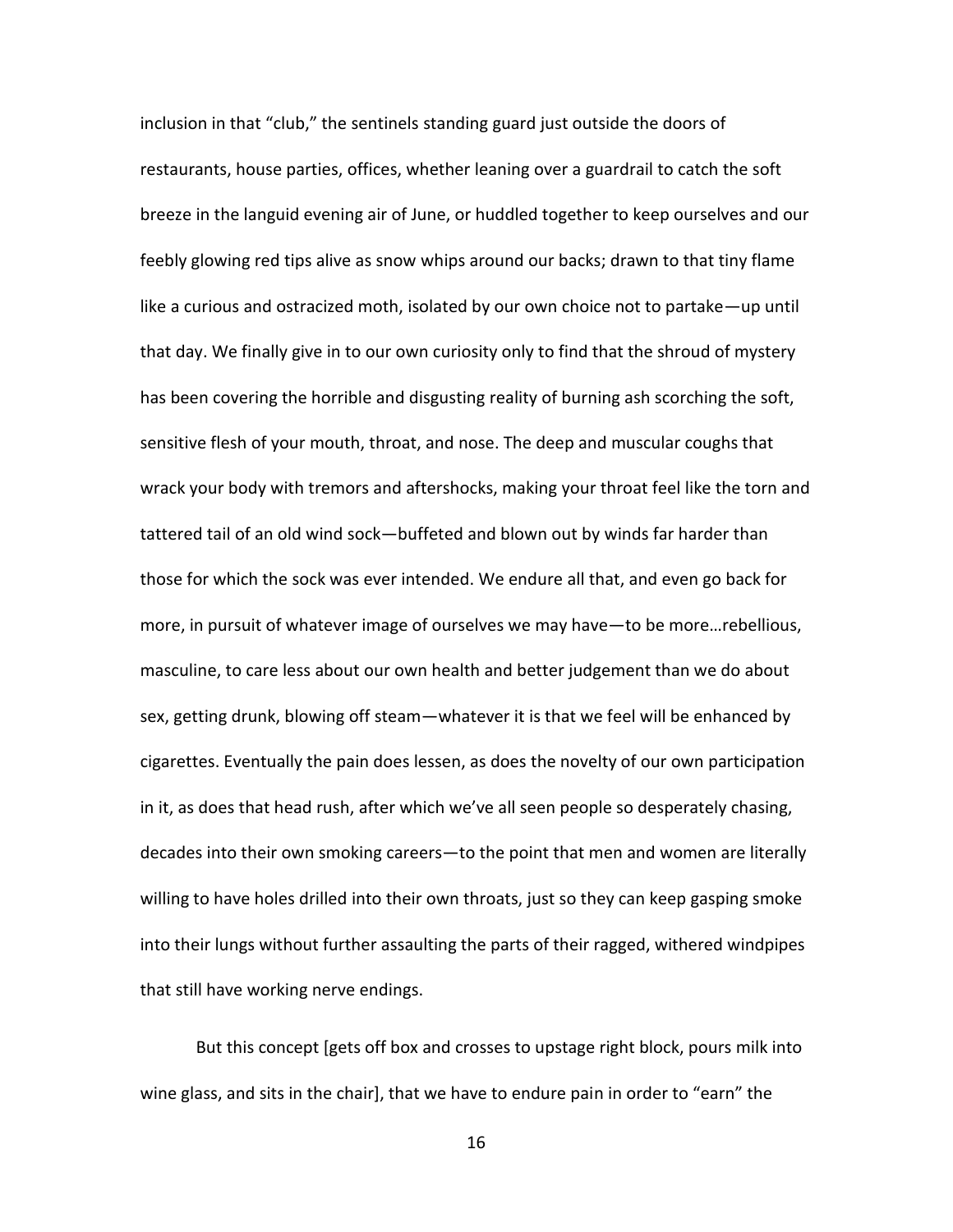inclusion in that "club," the sentinels standing guard just outside the doors of restaurants, house parties, offices, whether leaning over a guardrail to catch the soft breeze in the languid evening air of June, or huddled together to keep ourselves and our feebly glowing red tips alive as snow whips around our backs; drawn to that tiny flame like a curious and ostracized moth, isolated by our own choice not to partake—up until that day. We finally give in to our own curiosity only to find that the shroud of mystery has been covering the horrible and disgusting reality of burning ash scorching the soft, sensitive flesh of your mouth, throat, and nose. The deep and muscular coughs that wrack your body with tremors and aftershocks, making your throat feel like the torn and tattered tail of an old wind sock—buffeted and blown out by winds far harder than those for which the sock was ever intended. We endure all that, and even go back for more, in pursuit of whatever image of ourselves we may have—to be more…rebellious, masculine, to care less about our own health and better judgement than we do about sex, getting drunk, blowing off steam—whatever it is that we feel will be enhanced by cigarettes. Eventually the pain does lessen, as does the novelty of our own participation in it, as does that head rush, after which we've all seen people so desperately chasing, decades into their own smoking careers—to the point that men and women are literally willing to have holes drilled into their own throats, just so they can keep gasping smoke into their lungs without further assaulting the parts of their ragged, withered windpipes that still have working nerve endings.

But this concept [gets off box and crosses to upstage right block, pours milk into wine glass, and sits in the chair], that we have to endure pain in order to "earn" the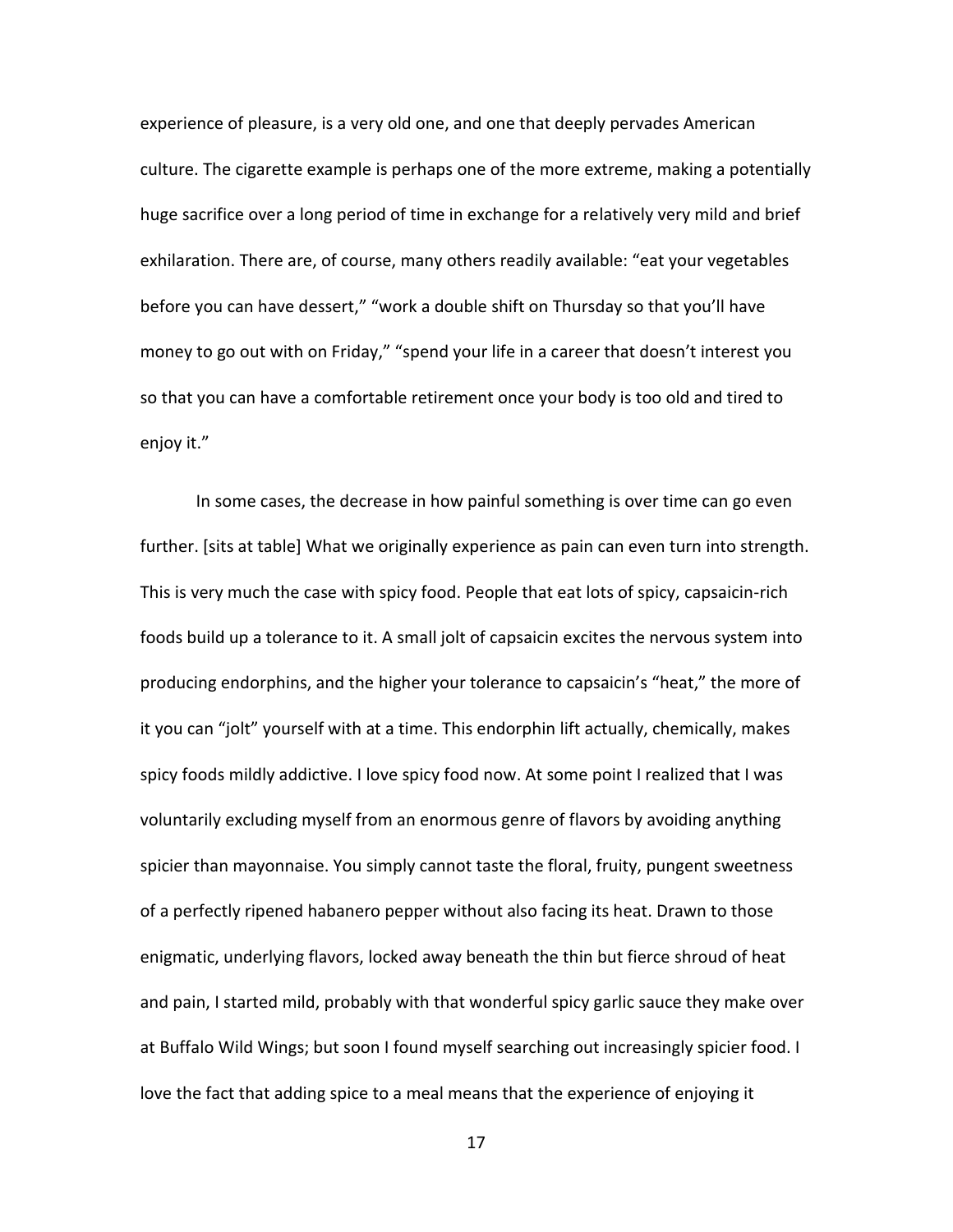experience of pleasure, is a very old one, and one that deeply pervades American culture. The cigarette example is perhaps one of the more extreme, making a potentially huge sacrifice over a long period of time in exchange for a relatively very mild and brief exhilaration. There are, of course, many others readily available: "eat your vegetables before you can have dessert," "work a double shift on Thursday so that you'll have money to go out with on Friday," "spend your life in a career that doesn't interest you so that you can have a comfortable retirement once your body is too old and tired to enjoy it."

In some cases, the decrease in how painful something is over time can go even further. [sits at table] What we originally experience as pain can even turn into strength. This is very much the case with spicy food. People that eat lots of spicy, capsaicin-rich foods build up a tolerance to it. A small jolt of capsaicin excites the nervous system into producing endorphins, and the higher your tolerance to capsaicin's "heat," the more of it you can "jolt" yourself with at a time. This endorphin lift actually, chemically, makes spicy foods mildly addictive. I love spicy food now. At some point I realized that I was voluntarily excluding myself from an enormous genre of flavors by avoiding anything spicier than mayonnaise. You simply cannot taste the floral, fruity, pungent sweetness of a perfectly ripened habanero pepper without also facing its heat. Drawn to those enigmatic, underlying flavors, locked away beneath the thin but fierce shroud of heat and pain, I started mild, probably with that wonderful spicy garlic sauce they make over at Buffalo Wild Wings; but soon I found myself searching out increasingly spicier food. I love the fact that adding spice to a meal means that the experience of enjoying it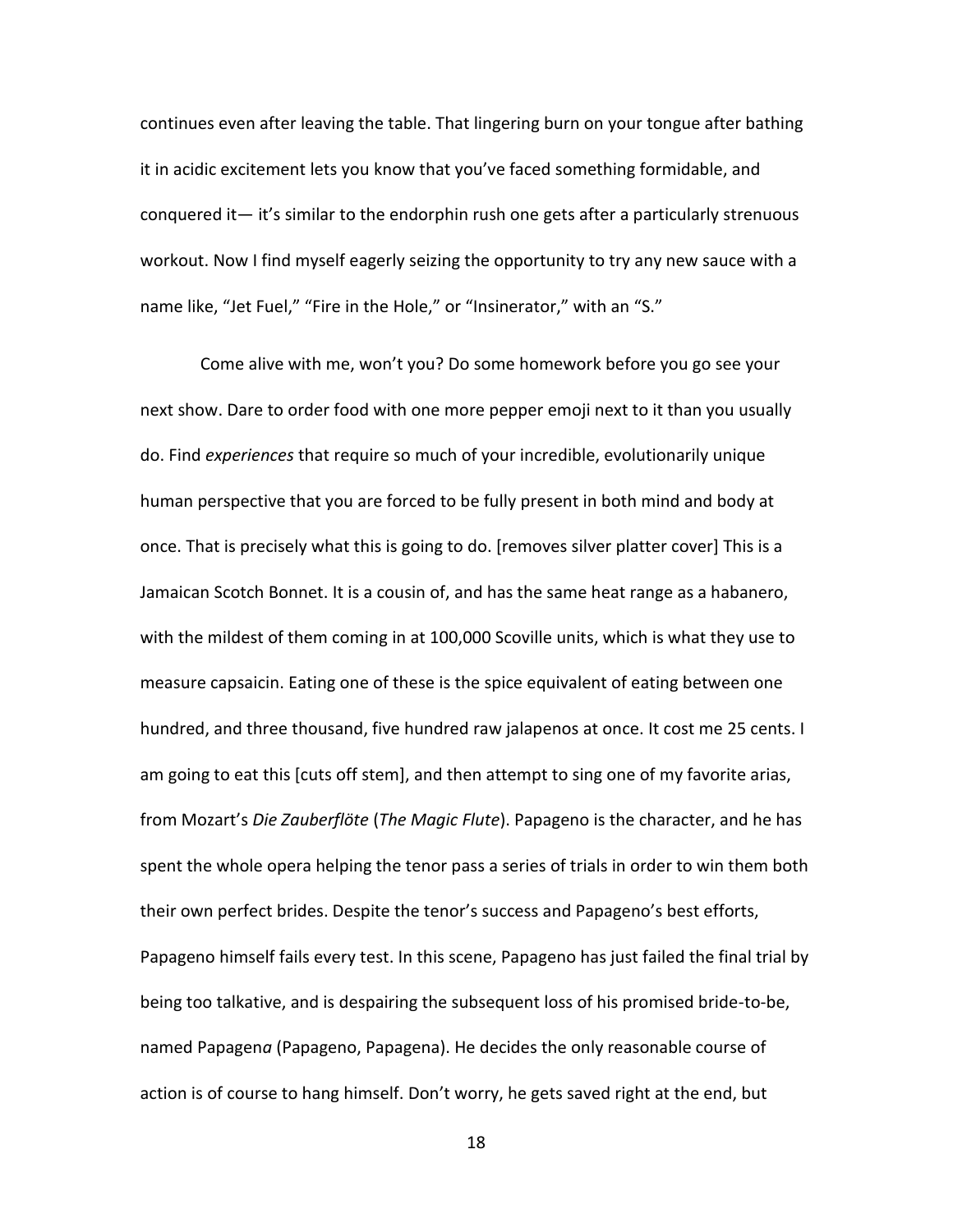continues even after leaving the table. That lingering burn on your tongue after bathing it in acidic excitement lets you know that you've faced something formidable, and conquered it— it's similar to the endorphin rush one gets after a particularly strenuous workout. Now I find myself eagerly seizing the opportunity to try any new sauce with a name like, "Jet Fuel," "Fire in the Hole," or "Insinerator," with an "S."

Come alive with me, won't you? Do some homework before you go see your next show. Dare to order food with one more pepper emoji next to it than you usually do. Find *experiences* that require so much of your incredible, evolutionarily unique human perspective that you are forced to be fully present in both mind and body at once. That is precisely what this is going to do. [removes silver platter cover] This is a Jamaican Scotch Bonnet. It is a cousin of, and has the same heat range as a habanero, with the mildest of them coming in at 100,000 Scoville units, which is what they use to measure capsaicin. Eating one of these is the spice equivalent of eating between one hundred, and three thousand, five hundred raw jalapenos at once. It cost me 25 cents. I am going to eat this [cuts off stem], and then attempt to sing one of my favorite arias, from Mozart's *Die Zauberflöte* (*The Magic Flute*). Papageno is the character, and he has spent the whole opera helping the tenor pass a series of trials in order to win them both their own perfect brides. Despite the tenor's success and Papageno's best efforts, Papageno himself fails every test. In this scene, Papageno has just failed the final trial by being too talkative, and is despairing the subsequent loss of his promised bride-to-be, named Papagen*a* (Papageno, Papagena). He decides the only reasonable course of action is of course to hang himself. Don't worry, he gets saved right at the end, but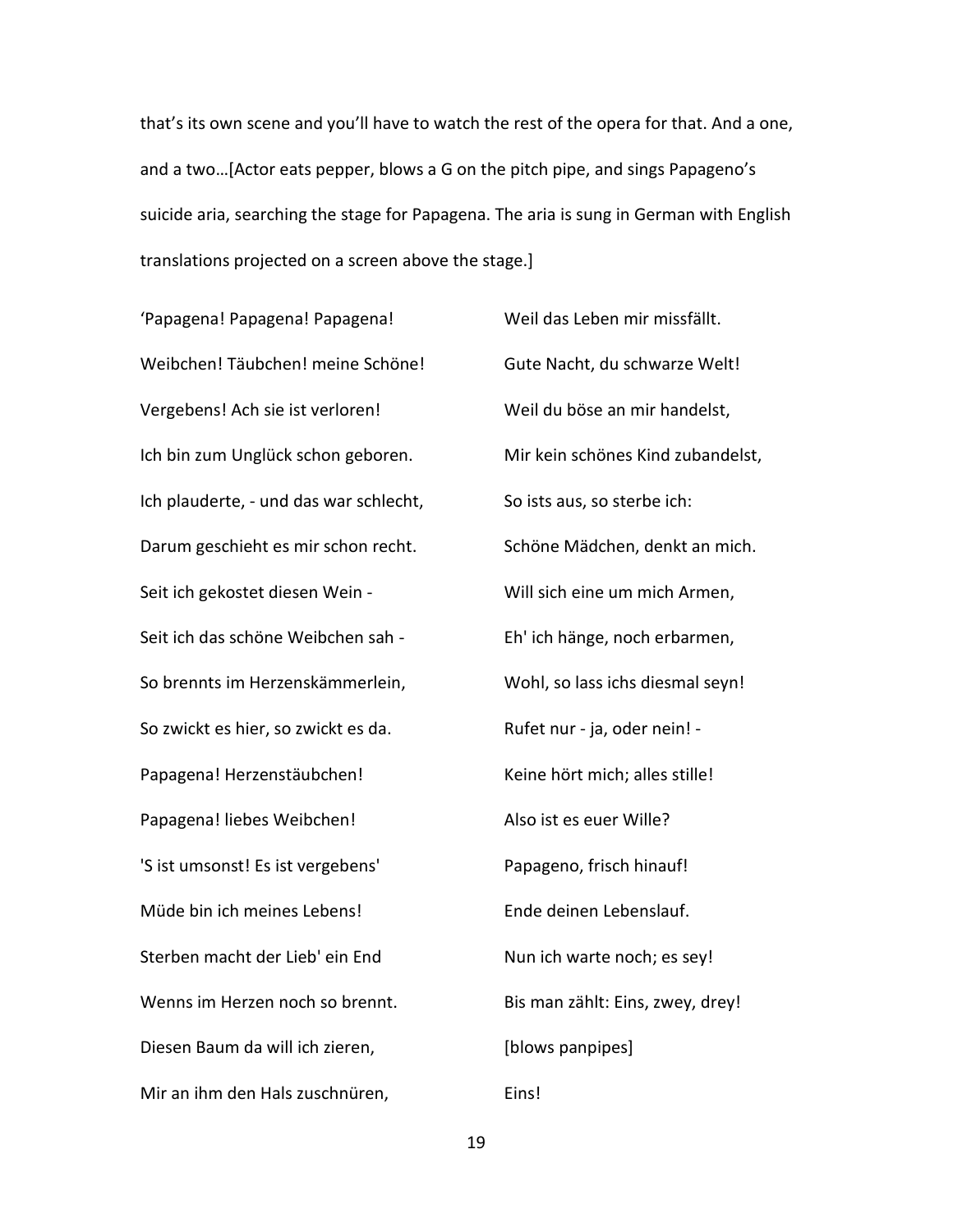that's its own scene and you'll have to watch the rest of the opera for that. And a one, and a two…[Actor eats pepper, blows a G on the pitch pipe, and sings Papageno's suicide aria, searching the stage for Papagena. The aria is sung in German with English translations projected on a screen above the stage.]

'Papagena! Papagena! Papagena! Weibchen! Täubchen! meine Schöne! Vergebens! Ach sie ist verloren! Ich bin zum Unglück schon geboren. Ich plauderte, - und das war schlecht, Darum geschieht es mir schon recht. Seit ich gekostet diesen Wein - Seit ich das schöne Weibchen sah - So brennts im Herzenskämmerlein, So zwickt es hier, so zwickt es da. Papagena! Herzenstäubchen! Papagena! liebes Weibchen! 'S ist umsonst! Es ist vergebens' Müde bin ich meines Lebens! Sterben macht der Lieb' ein End Wenns im Herzen noch so brennt. Diesen Baum da will ich zieren, Mir an ihm den Hals zuschnüren,

Weil das Leben mir missfällt. Gute Nacht, du schwarze Welt! Weil du böse an mir handelst, Mir kein schönes Kind zubandelst, So ists aus, so sterbe ich: Schöne Mädchen, denkt an mich. Will sich eine um mich Armen, Eh' ich hänge, noch erbarmen, Wohl, so lass ichs diesmal seyn! Rufet nur - ja, oder nein! - Keine hört mich; alles stille! Also ist es euer Wille? Papageno, frisch hinauf! Ende deinen Lebenslauf. Nun ich warte noch; es sey! Bis man zählt: Eins, zwey, drey! [blows panpipes] Eins!